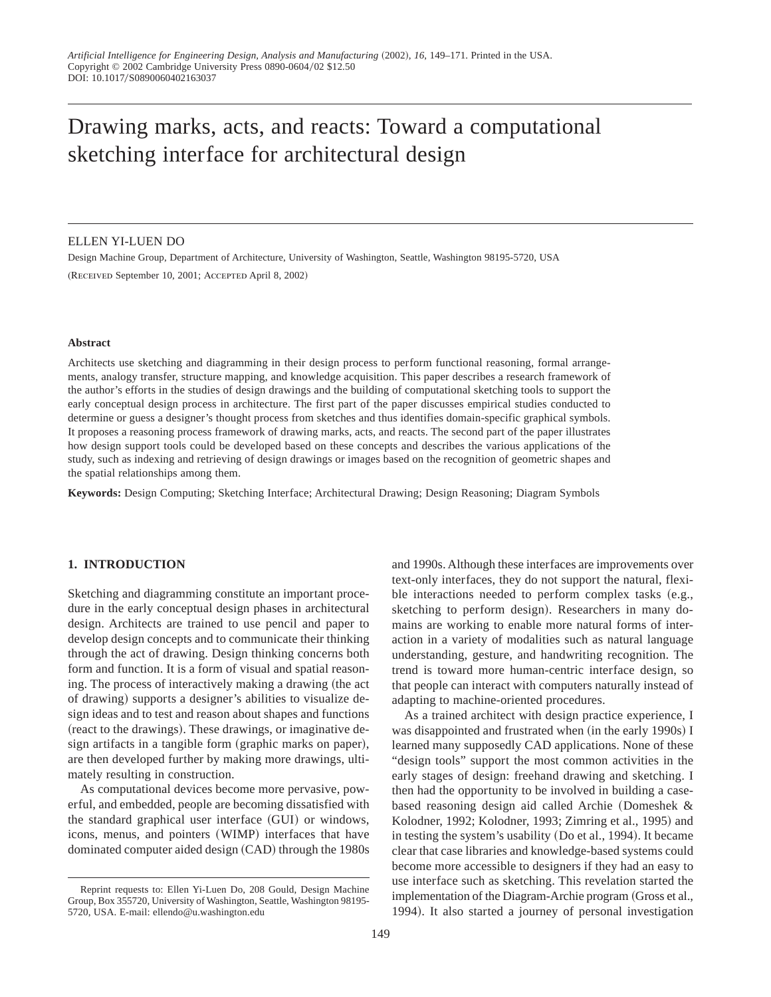# Drawing marks, acts, and reacts: Toward a computational sketching interface for architectural design

#### ELLEN YI-LUEN DO

Design Machine Group, Department of Architecture, University of Washington, Seattle, Washington 98195-5720, USA (RECEIVED September 10, 2001; ACCEPTED April 8, 2002)

#### **Abstract**

Architects use sketching and diagramming in their design process to perform functional reasoning, formal arrangements, analogy transfer, structure mapping, and knowledge acquisition. This paper describes a research framework of the author's efforts in the studies of design drawings and the building of computational sketching tools to support the early conceptual design process in architecture. The first part of the paper discusses empirical studies conducted to determine or guess a designer's thought process from sketches and thus identifies domain-specific graphical symbols. It proposes a reasoning process framework of drawing marks, acts, and reacts. The second part of the paper illustrates how design support tools could be developed based on these concepts and describes the various applications of the study, such as indexing and retrieving of design drawings or images based on the recognition of geometric shapes and the spatial relationships among them.

**Keywords:** Design Computing; Sketching Interface; Architectural Drawing; Design Reasoning; Diagram Symbols

## **1. INTRODUCTION**

Sketching and diagramming constitute an important procedure in the early conceptual design phases in architectural design. Architects are trained to use pencil and paper to develop design concepts and to communicate their thinking through the act of drawing. Design thinking concerns both form and function. It is a form of visual and spatial reasoning. The process of interactively making a drawing (the act of drawing) supports a designer's abilities to visualize design ideas and to test and reason about shapes and functions (react to the drawings). These drawings, or imaginative design artifacts in a tangible form (graphic marks on paper), are then developed further by making more drawings, ultimately resulting in construction.

As computational devices become more pervasive, powerful, and embedded, people are becoming dissatisfied with the standard graphical user interface (GUI) or windows, icons, menus, and pointers (WIMP) interfaces that have dominated computer aided design (CAD) through the 1980s

and 1990s. Although these interfaces are improvements over text-only interfaces, they do not support the natural, flexible interactions needed to perform complex tasks  $(e.g.,)$ sketching to perform design). Researchers in many domains are working to enable more natural forms of interaction in a variety of modalities such as natural language understanding, gesture, and handwriting recognition. The trend is toward more human-centric interface design, so that people can interact with computers naturally instead of adapting to machine-oriented procedures. As a trained architect with design practice experience, I

was disappointed and frustrated when (in the early 1990s) I learned many supposedly CAD applications. None of these "design tools" support the most common activities in the early stages of design: freehand drawing and sketching. I then had the opportunity to be involved in building a casebased reasoning design aid called Archie (Domeshek  $\&$ Kolodner, 1992; Kolodner, 1993; Zimring et al., 1995) and in testing the system's usability (Do et al., 1994). It became clear that case libraries and knowledge-based systems could become more accessible to designers if they had an easy to use interface such as sketching. This revelation started the implementation of the Diagram-Archie program (Gross et al., 1994). It also started a journey of personal investigation

Reprint requests to: Ellen Yi-Luen Do, 208 Gould, Design Machine Group, Box 355720, University of Washington, Seattle, Washington 98195- 5720, USA. E-mail: ellendo@u.washington.edu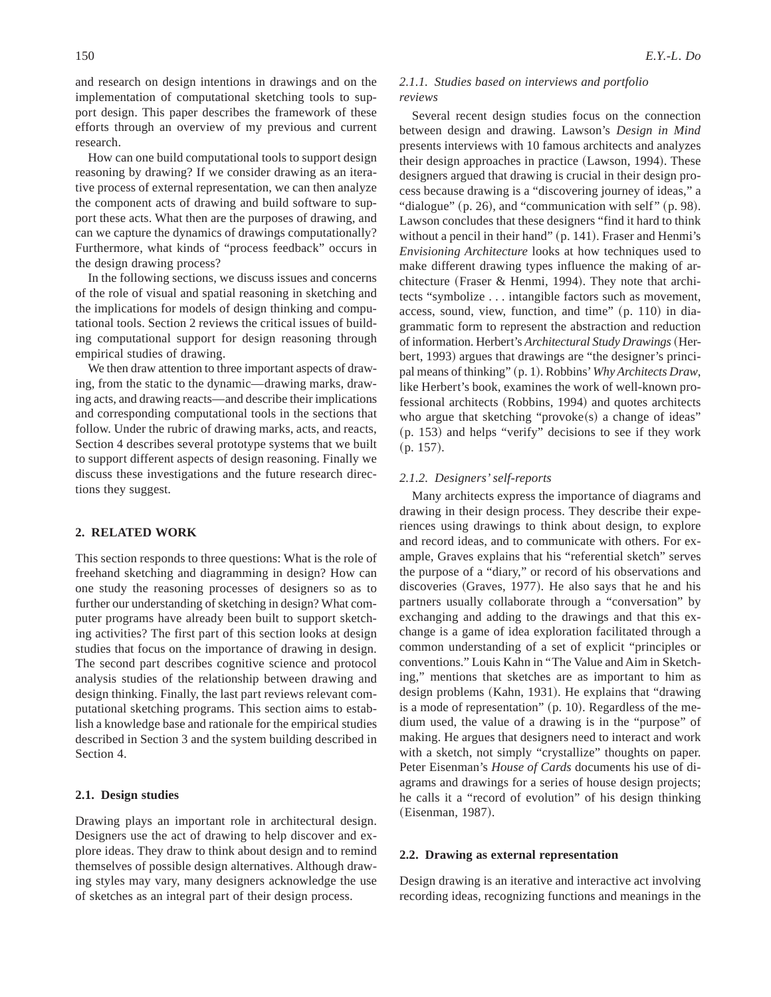and research on design intentions in drawings and on the implementation of computational sketching tools to support design. This paper describes the framework of these efforts through an overview of my previous and current research.

How can one build computational tools to support design reasoning by drawing? If we consider drawing as an iterative process of external representation, we can then analyze the component acts of drawing and build software to support these acts. What then are the purposes of drawing, and can we capture the dynamics of drawings computationally? Furthermore, what kinds of "process feedback" occurs in the design drawing process?

In the following sections, we discuss issues and concerns of the role of visual and spatial reasoning in sketching and the implications for models of design thinking and computational tools. Section 2 reviews the critical issues of building computational support for design reasoning through empirical studies of drawing.

We then draw attention to three important aspects of drawing, from the static to the dynamic—drawing marks, drawing acts, and drawing reacts—and describe their implications and corresponding computational tools in the sections that follow. Under the rubric of drawing marks, acts, and reacts, Section 4 describes several prototype systems that we built to support different aspects of design reasoning. Finally we discuss these investigations and the future research directions they suggest.

# **2. RELATED WORK**

This section responds to three questions: What is the role of freehand sketching and diagramming in design? How can one study the reasoning processes of designers so as to further our understanding of sketching in design? What computer programs have already been built to support sketching activities? The first part of this section looks at design studies that focus on the importance of drawing in design. The second part describes cognitive science and protocol analysis studies of the relationship between drawing and design thinking. Finally, the last part reviews relevant computational sketching programs. This section aims to establish a knowledge base and rationale for the empirical studies described in Section 3 and the system building described in Section 4.

# **2.1. Design studies**

Drawing plays an important role in architectural design. Designers use the act of drawing to help discover and explore ideas. They draw to think about design and to remind themselves of possible design alternatives. Although drawing styles may vary, many designers acknowledge the use of sketches as an integral part of their design process.

## *2.1.1. Studies based on interviews and portfolio reviews*

Several recent design studies focus on the connection between design and drawing. Lawson's *Design in Mind* presents interviews with 10 famous architects and analyzes their design approaches in practice  $(Lawson, 1994)$ . These designers argued that drawing is crucial in their design process because drawing is a "discovering journey of ideas," a "dialogue"  $(p. 26)$ , and "communication with self"  $(p. 98)$ . Lawson concludes that these designers "find it hard to think without a pencil in their hand"  $(p. 141)$ . Fraser and Henmi's *Envisioning Architecture* looks at how techniques used to make different drawing types influence the making of architecture (Fraser & Henmi, 1994). They note that architects "symbolize . . . intangible factors such as movement, access, sound, view, function, and time"  $(p. 110)$  in diagrammatic form to represent the abstraction and reduction of information. Herbert's *Architectural Study Drawings* (Herbert, 1993) argues that drawings are "the designer's principal means of thinking" (p. 1). Robbins' Why Architects Draw, like Herbert's book, examines the work of well-known professional architects (Robbins, 1994) and quotes architects who argue that sketching "provoke $(s)$  a change of ideas"  $(p. 153)$  and helps "verify" decisions to see if they work  $(p. 157).$ 

#### *2.1.2. Designers' self-reports*

Many architects express the importance of diagrams and drawing in their design process. They describe their experiences using drawings to think about design, to explore and record ideas, and to communicate with others. For example, Graves explains that his "referential sketch" serves the purpose of a "diary," or record of his observations and discoveries (Graves, 1977). He also says that he and his partners usually collaborate through a "conversation" by exchanging and adding to the drawings and that this exchange is a game of idea exploration facilitated through a common understanding of a set of explicit "principles or conventions." Louis Kahn in "The Value and Aim in Sketching," mentions that sketches are as important to him as design problems (Kahn, 1931). He explains that "drawing is a mode of representation"  $(p. 10)$ . Regardless of the medium used, the value of a drawing is in the "purpose" of making. He argues that designers need to interact and work with a sketch, not simply "crystallize" thoughts on paper. Peter Eisenman's *House of Cards* documents his use of diagrams and drawings for a series of house design projects; he calls it a "record of evolution" of his design thinking (Eisenman, 1987).

## **2.2. Drawing as external representation**

Design drawing is an iterative and interactive act involving recording ideas, recognizing functions and meanings in the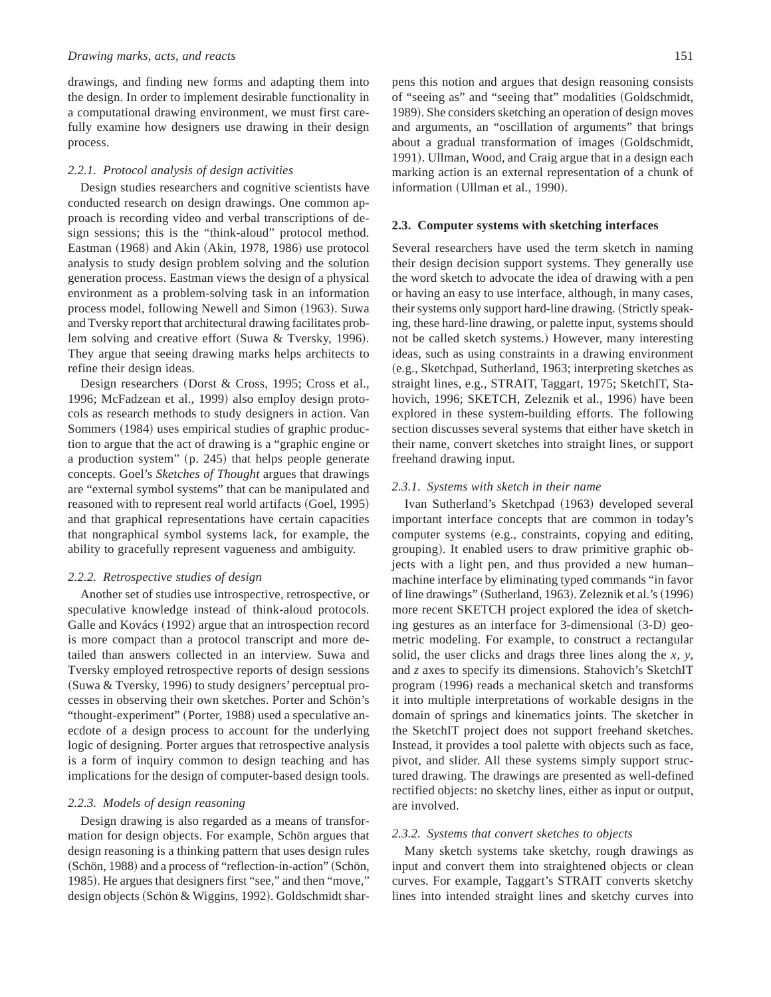drawings, and finding new forms and adapting them into the design. In order to implement desirable functionality in a computational drawing environment, we must first carefully examine how designers use drawing in their design process.

#### *2.2.1. Protocol analysis of design activities*

Design studies researchers and cognitive scientists have conducted research on design drawings. One common approach is recording video and verbal transcriptions of design sessions; this is the "think-aloud" protocol method. Eastman  $(1968)$  and Akin  $(Akin, 1978, 1986)$  use protocol analysis to study design problem solving and the solution generation process. Eastman views the design of a physical environment as a problem-solving task in an information process model, following Newell and Simon  $(1963)$ . Suwa and Tversky report that architectural drawing facilitates problem solving and creative effort (Suwa & Tversky, 1996). They argue that seeing drawing marks helps architects to refine their design ideas.

Design researchers (Dorst & Cross, 1995; Cross et al., 1996; McFadzean et al., 1999) also employ design protocols as research methods to study designers in action. Van Sommers (1984) uses empirical studies of graphic production to argue that the act of drawing is a "graphic engine or a production system"  $(p. 245)$  that helps people generate concepts. Goel's *Sketches of Thought* argues that drawings are "external symbol systems" that can be manipulated and reasoned with to represent real world artifacts (Goel, 1995) and that graphical representations have certain capacities that nongraphical symbol systems lack, for example, the ability to gracefully represent vagueness and ambiguity.

#### *2.2.2. Retrospective studies of design*

Another set of studies use introspective, retrospective, or speculative knowledge instead of think-aloud protocols. Galle and Kovács (1992) argue that an introspection record is more compact than a protocol transcript and more detailed than answers collected in an interview. Suwa and Tversky employed retrospective reports of design sessions (Suwa & Tversky, 1996) to study designers' perceptual processes in observing their own sketches. Porter and Schön's "thought-experiment" (Porter, 1988) used a speculative anecdote of a design process to account for the underlying logic of designing. Porter argues that retrospective analysis is a form of inquiry common to design teaching and has implications for the design of computer-based design tools.

#### *2.2.3. Models of design reasoning*

Design drawing is also regarded as a means of transformation for design objects. For example, Schön argues that design reasoning is a thinking pattern that uses design rules (Schön, 1988) and a process of "reflection-in-action" (Schön, 1985). He argues that designers first "see," and then "move," design objects (Schön & Wiggins, 1992). Goldschmidt sharpens this notion and argues that design reasoning consists of "seeing as" and "seeing that" modalities (Goldschmidt, 1989). She considers sketching an operation of design moves and arguments, an "oscillation of arguments" that brings about a gradual transformation of images (Goldschmidt, 1991). Ullman, Wood, and Craig argue that in a design each marking action is an external representation of a chunk of information (Ullman et al., 1990).

#### **2.3. Computer systems with sketching interfaces**

Several researchers have used the term sketch in naming their design decision support systems. They generally use the word sketch to advocate the idea of drawing with a pen or having an easy to use interface, although, in many cases, their systems only support hard-line drawing. (Strictly speaking, these hard-line drawing, or palette input, systems should not be called sketch systems.) However, many interesting ideas, such as using constraints in a drawing environment (e.g., Sketchpad, Sutherland, 1963; interpreting sketches as straight lines, e.g., STRAIT, Taggart, 1975; SketchIT, Stahovich, 1996; SKETCH, Zeleznik et al., 1996) have been explored in these system-building efforts. The following section discusses several systems that either have sketch in their name, convert sketches into straight lines, or support freehand drawing input.

#### *2.3.1. Systems with sketch in their name*

Ivan Sutherland's Sketchpad (1963) developed several important interface concepts that are common in today's computer systems (e.g., constraints, copying and editing, grouping). It enabled users to draw primitive graphic objects with a light pen, and thus provided a new human– machine interface by eliminating typed commands "in favor of line drawings" (Sutherland, 1963). Zeleznik et al.'s (1996) more recent SKETCH project explored the idea of sketching gestures as an interface for 3-dimensional  $(3-D)$  geometric modeling. For example, to construct a rectangular solid, the user clicks and drags three lines along the *x*, *y*, and *z* axes to specify its dimensions. Stahovich's SketchIT program (1996) reads a mechanical sketch and transforms it into multiple interpretations of workable designs in the domain of springs and kinematics joints. The sketcher in the SketchIT project does not support freehand sketches. Instead, it provides a tool palette with objects such as face, pivot, and slider. All these systems simply support structured drawing. The drawings are presented as well-defined rectified objects: no sketchy lines, either as input or output, are involved.

#### *2.3.2. Systems that convert sketches to objects*

Many sketch systems take sketchy, rough drawings as input and convert them into straightened objects or clean curves. For example, Taggart's STRAIT converts sketchy lines into intended straight lines and sketchy curves into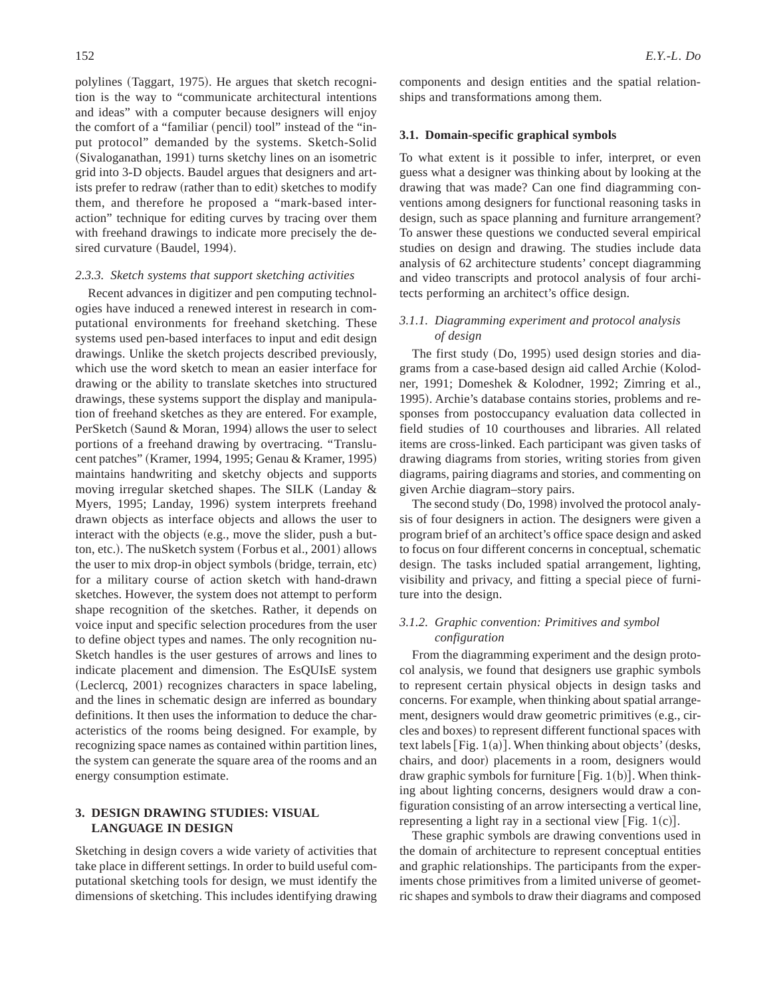polylines (Taggart, 1975). He argues that sketch recognition is the way to "communicate architectural intentions and ideas" with a computer because designers will enjoy the comfort of a "familiar (pencil) tool" instead of the "input protocol" demanded by the systems. Sketch-Solid (Sivaloganathan, 1991) turns sketchy lines on an isometric grid into 3-D objects. Baudel argues that designers and artists prefer to redraw (rather than to edit) sketches to modify them, and therefore he proposed a "mark-based interaction" technique for editing curves by tracing over them with freehand drawings to indicate more precisely the desired curvature (Baudel, 1994).

## *2.3.3. Sketch systems that support sketching activities*

Recent advances in digitizer and pen computing technologies have induced a renewed interest in research in computational environments for freehand sketching. These systems used pen-based interfaces to input and edit design drawings. Unlike the sketch projects described previously, which use the word sketch to mean an easier interface for drawing or the ability to translate sketches into structured drawings, these systems support the display and manipulation of freehand sketches as they are entered. For example, PerSketch (Saund & Moran, 1994) allows the user to select portions of a freehand drawing by overtracing. "Translucent patches" (Kramer, 1994, 1995; Genau & Kramer, 1995) maintains handwriting and sketchy objects and supports moving irregular sketched shapes. The SILK (Landay  $\&$ Myers, 1995; Landay, 1996) system interprets freehand drawn objects as interface objects and allows the user to interact with the objects  $(e.g., move the slider, push a but$ ton, etc.). The nuSketch system (Forbus et al., 2001) allows the user to mix drop-in object symbols (bridge, terrain, etc) for a military course of action sketch with hand-drawn sketches. However, the system does not attempt to perform shape recognition of the sketches. Rather, it depends on voice input and specific selection procedures from the user to define object types and names. The only recognition nu-Sketch handles is the user gestures of arrows and lines to indicate placement and dimension. The EsQUIsE system (Leclercq, 2001) recognizes characters in space labeling, and the lines in schematic design are inferred as boundary definitions. It then uses the information to deduce the characteristics of the rooms being designed. For example, by recognizing space names as contained within partition lines, the system can generate the square area of the rooms and an energy consumption estimate.

# **3. DESIGN DRAWING STUDIES: VISUAL LANGUAGE IN DESIGN**

Sketching in design covers a wide variety of activities that take place in different settings. In order to build useful computational sketching tools for design, we must identify the dimensions of sketching. This includes identifying drawing components and design entities and the spatial relationships and transformations among them.

#### **3.1. Domain-specific graphical symbols**

To what extent is it possible to infer, interpret, or even guess what a designer was thinking about by looking at the drawing that was made? Can one find diagramming conventions among designers for functional reasoning tasks in design, such as space planning and furniture arrangement? To answer these questions we conducted several empirical studies on design and drawing. The studies include data analysis of 62 architecture students' concept diagramming and video transcripts and protocol analysis of four architects performing an architect's office design.

# *3.1.1. Diagramming experiment and protocol analysis of design*

The first study  $(Do, 1995)$  used design stories and diagrams from a case-based design aid called Archie (Kolodner, 1991; Domeshek & Kolodner, 1992; Zimring et al., 1995). Archie's database contains stories, problems and responses from postoccupancy evaluation data collected in field studies of 10 courthouses and libraries. All related items are cross-linked. Each participant was given tasks of drawing diagrams from stories, writing stories from given diagrams, pairing diagrams and stories, and commenting on given Archie diagram–story pairs.

The second study (Do, 1998) involved the protocol analysis of four designers in action. The designers were given a program brief of an architect's office space design and asked to focus on four different concerns in conceptual, schematic design. The tasks included spatial arrangement, lighting, visibility and privacy, and fitting a special piece of furniture into the design.

# *3.1.2. Graphic convention: Primitives and symbol configuration*

From the diagramming experiment and the design protocol analysis, we found that designers use graphic symbols to represent certain physical objects in design tasks and concerns. For example, when thinking about spatial arrangement, designers would draw geometric primitives (e.g., circles and boxes) to represent different functional spaces with text labels  $[Fig. 1(a)]$ . When thinking about objects' (desks, chairs, and door) placements in a room, designers would draw graphic symbols for furniture [Fig. 1(b)]. When thinking about lighting concerns, designers would draw a configuration consisting of an arrow intersecting a vertical line, representing a light ray in a sectional view  $[Fig. 1(c)].$ 

These graphic symbols are drawing conventions used in the domain of architecture to represent conceptual entities and graphic relationships. The participants from the experiments chose primitives from a limited universe of geometric shapes and symbols to draw their diagrams and composed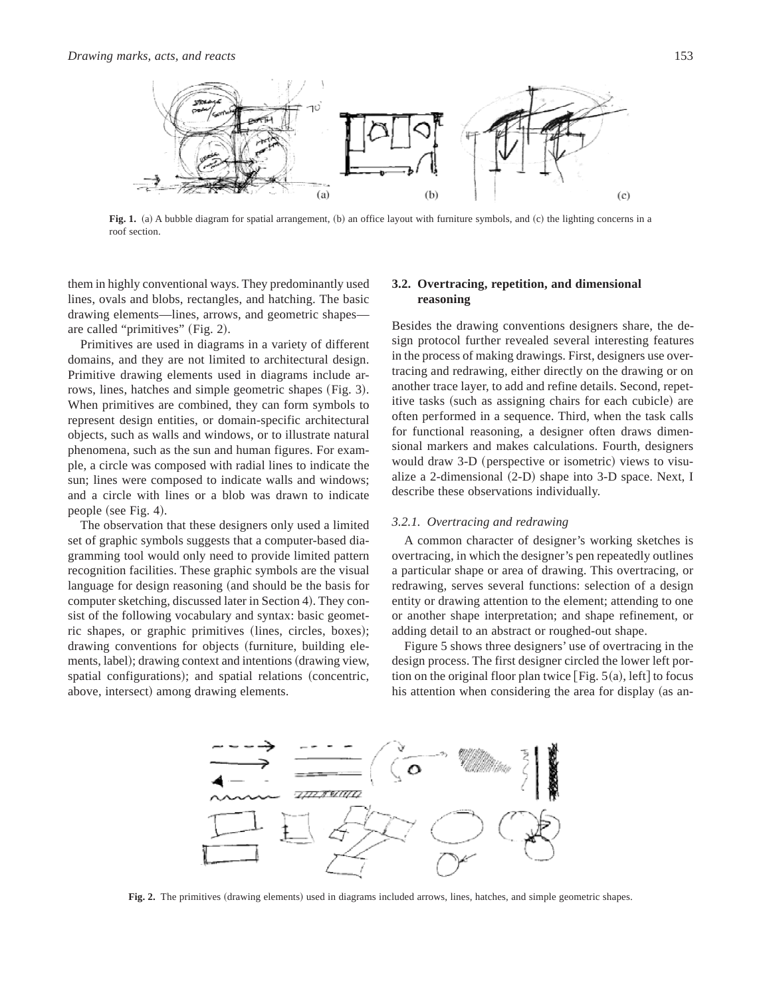

**Fig. 1.** (a) A bubble diagram for spatial arrangement, (b) an office layout with furniture symbols, and (c) the lighting concerns in a roof section.

them in highly conventional ways. They predominantly used lines, ovals and blobs, rectangles, and hatching. The basic drawing elements—lines, arrows, and geometric shapes are called "primitives"  $(Fig. 2)$ .

Primitives are used in diagrams in a variety of different domains, and they are not limited to architectural design. Primitive drawing elements used in diagrams include arrows, lines, hatches and simple geometric shapes (Fig. 3). When primitives are combined, they can form symbols to represent design entities, or domain-specific architectural objects, such as walls and windows, or to illustrate natural phenomena, such as the sun and human figures. For example, a circle was composed with radial lines to indicate the sun; lines were composed to indicate walls and windows; and a circle with lines or a blob was drawn to indicate people (see Fig. 4).

The observation that these designers only used a limited set of graphic symbols suggests that a computer-based diagramming tool would only need to provide limited pattern recognition facilities. These graphic symbols are the visual language for design reasoning (and should be the basis for computer sketching, discussed later in Section 4). They consist of the following vocabulary and syntax: basic geometric shapes, or graphic primitives (lines, circles, boxes); drawing conventions for objects (furniture, building elements, label); drawing context and intentions (drawing view, spatial configurations); and spatial relations (concentric, above, intersect) among drawing elements.

# **3.2. Overtracing, repetition, and dimensional reasoning**

Besides the drawing conventions designers share, the design protocol further revealed several interesting features in the process of making drawings. First, designers use overtracing and redrawing, either directly on the drawing or on another trace layer, to add and refine details. Second, repetitive tasks (such as assigning chairs for each cubicle) are often performed in a sequence. Third, when the task calls for functional reasoning, a designer often draws dimensional markers and makes calculations. Fourth, designers would draw 3-D (perspective or isometric) views to visualize a 2-dimensional  $(2-D)$  shape into 3-D space. Next, I describe these observations individually.

#### *3.2.1. Overtracing and redrawing*

A common character of designer's working sketches is overtracing, in which the designer's pen repeatedly outlines a particular shape or area of drawing. This overtracing, or redrawing, serves several functions: selection of a design entity or drawing attention to the element; attending to one or another shape interpretation; and shape refinement, or adding detail to an abstract or roughed-out shape.

Figure 5 shows three designers' use of overtracing in the design process. The first designer circled the lower left portion on the original floor plan twice  $[Fig. 5(a), left]$  to focus his attention when considering the area for display (as an-



**Fig. 2.** The primitives (drawing elements) used in diagrams included arrows, lines, hatches, and simple geometric shapes.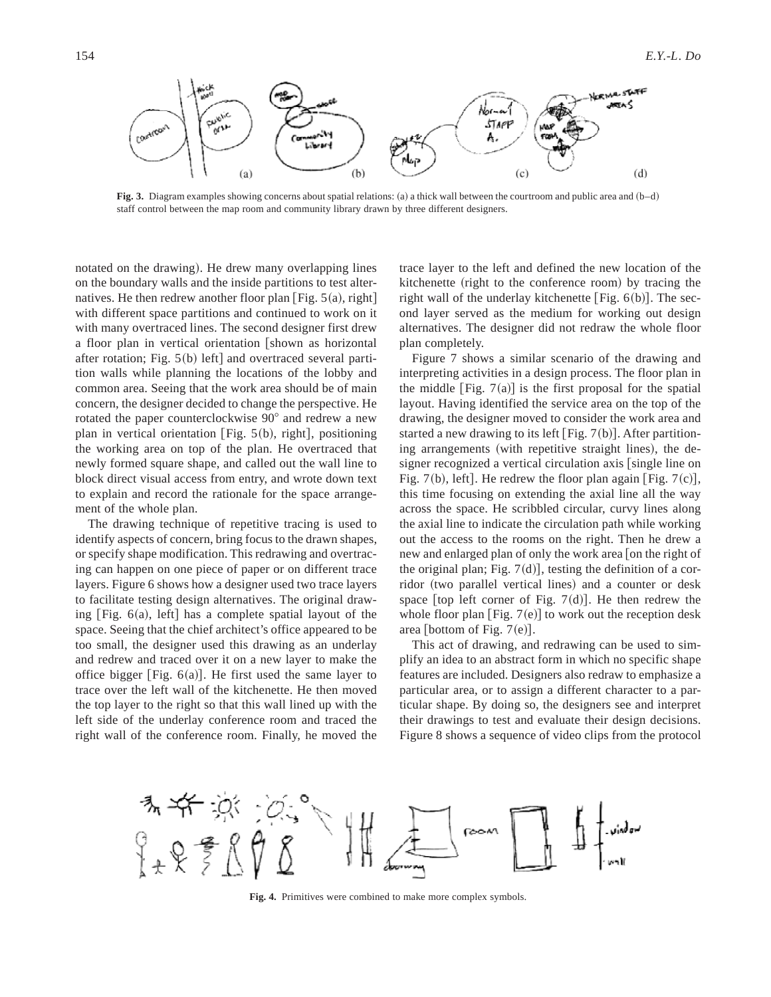

**Fig. 3.** Diagram examples showing concerns about spatial relations: (a) a thick wall between the courtroom and public area and  $(b-d)$ staff control between the map room and community library drawn by three different designers.

notated on the drawing). He drew many overlapping lines on the boundary walls and the inside partitions to test alternatives. He then redrew another floor plan [Fig.  $5(a)$ , right] with different space partitions and continued to work on it with many overtraced lines. The second designer first drew a floor plan in vertical orientation [shown as horizontal after rotation; Fig.  $5(b)$  left] and overtraced several partition walls while planning the locations of the lobby and common area. Seeing that the work area should be of main concern, the designer decided to change the perspective. He rotated the paper counterclockwise 90° and redrew a new plan in vertical orientation [Fig.  $5(b)$ , right], positioning the working area on top of the plan. He overtraced that newly formed square shape, and called out the wall line to block direct visual access from entry, and wrote down text to explain and record the rationale for the space arrangement of the whole plan.

The drawing technique of repetitive tracing is used to identify aspects of concern, bring focus to the drawn shapes, or specify shape modification. This redrawing and overtracing can happen on one piece of paper or on different trace layers. Figure 6 shows how a designer used two trace layers to facilitate testing design alternatives. The original drawing  $[Fig. 6(a), left]$  has a complete spatial layout of the space. Seeing that the chief architect's office appeared to be too small, the designer used this drawing as an underlay and redrew and traced over it on a new layer to make the office bigger [Fig.  $6(a)$ ]. He first used the same layer to trace over the left wall of the kitchenette. He then moved the top layer to the right so that this wall lined up with the left side of the underlay conference room and traced the right wall of the conference room. Finally, he moved the

trace layer to the left and defined the new location of the kitchenette (right to the conference room) by tracing the right wall of the underlay kitchenette [Fig.  $6(b)$ ]. The second layer served as the medium for working out design alternatives. The designer did not redraw the whole floor plan completely.

Figure 7 shows a similar scenario of the drawing and interpreting activities in a design process. The floor plan in the middle  $[Fig. 7(a)]$  is the first proposal for the spatial layout. Having identified the service area on the top of the drawing, the designer moved to consider the work area and started a new drawing to its left [Fig.  $7(b)$ ]. After partitioning arrangements (with repetitive straight lines), the designer recognized a vertical circulation axis [single line on Fig. 7(b), left]. He redrew the floor plan again [Fig. 7(c)], this time focusing on extending the axial line all the way across the space. He scribbled circular, curvy lines along the axial line to indicate the circulation path while working out the access to the rooms on the right. Then he drew a new and enlarged plan of only the work area  $\lceil$  on the right of the original plan; Fig.  $7(d)$ , testing the definition of a corridor (two parallel vertical lines) and a counter or desk space [top left corner of Fig. 7 $(d)$ ]. He then redrew the whole floor plan [Fig.  $7(e)$ ] to work out the reception desk area [bottom of Fig.  $7(e)$ ].

This act of drawing, and redrawing can be used to simplify an idea to an abstract form in which no specific shape features are included. Designers also redraw to emphasize a particular area, or to assign a different character to a particular shape. By doing so, the designers see and interpret their drawings to test and evaluate their design decisions. Figure 8 shows a sequence of video clips from the protocol



**Fig. 4.** Primitives were combined to make more complex symbols.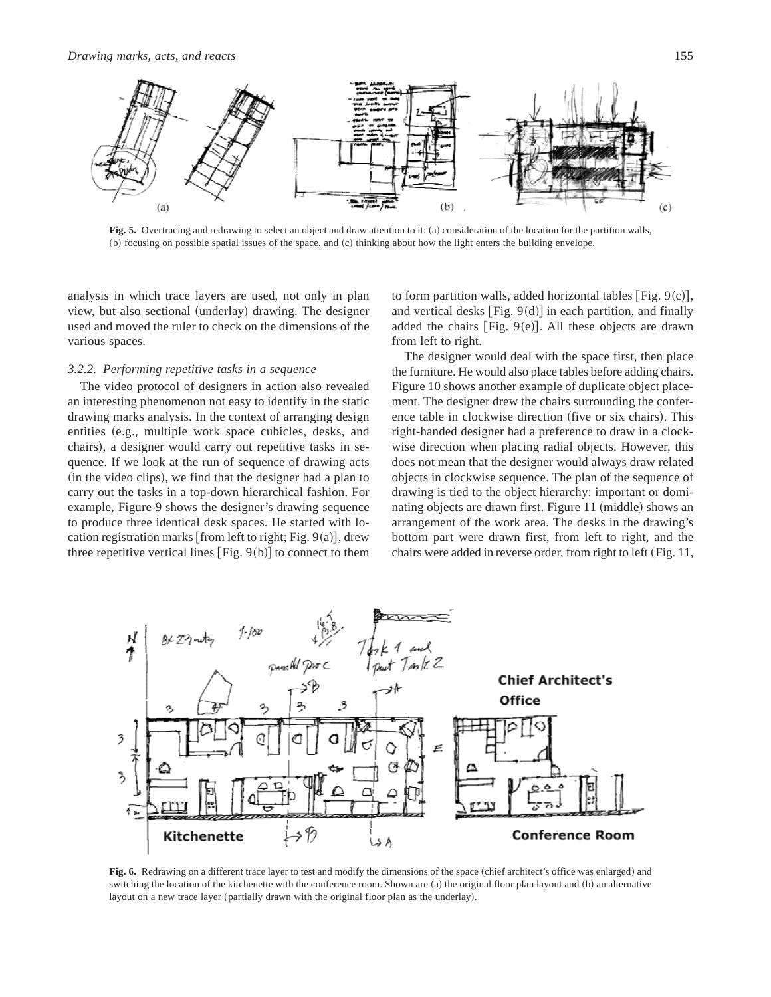

Fig. 5. Overtracing and redrawing to select an object and draw attention to it: (a) consideration of the location for the partition walls, (b) focusing on possible spatial issues of the space, and (c) thinking about how the light enters the building envelope.

analysis in which trace layers are used, not only in plan view, but also sectional (underlay) drawing. The designer used and moved the ruler to check on the dimensions of the various spaces.

## *3.2.2. Performing repetitive tasks in a sequence*

The video protocol of designers in action also revealed an interesting phenomenon not easy to identify in the static drawing marks analysis. In the context of arranging design entities (e.g., multiple work space cubicles, desks, and chairs), a designer would carry out repetitive tasks in sequence. If we look at the run of sequence of drawing acts (in the video clips), we find that the designer had a plan to carry out the tasks in a top-down hierarchical fashion. For example, Figure 9 shows the designer's drawing sequence to produce three identical desk spaces. He started with location registration marks [from left to right; Fig.  $9(a)$ ], drew three repetitive vertical lines  $[Fig. 9(b)]$  to connect to them

to form partition walls, added horizontal tables [Fig.  $9(c)$ ], and vertical desks  $[Fig. 9(d)]$  in each partition, and finally added the chairs [Fig.  $9(e)$ ]. All these objects are drawn from left to right.

The designer would deal with the space first, then place the furniture. He would also place tables before adding chairs. Figure 10 shows another example of duplicate object placement. The designer drew the chairs surrounding the conference table in clockwise direction (five or six chairs). This right-handed designer had a preference to draw in a clockwise direction when placing radial objects. However, this does not mean that the designer would always draw related objects in clockwise sequence. The plan of the sequence of drawing is tied to the object hierarchy: important or dominating objects are drawn first. Figure 11 (middle) shows an arrangement of the work area. The desks in the drawing's bottom part were drawn first, from left to right, and the chairs were added in reverse order, from right to left (Fig. 11,



Fig. 6. Redrawing on a different trace layer to test and modify the dimensions of the space (chief architect's office was enlarged) and switching the location of the kitchenette with the conference room. Shown are  $(a)$  the original floor plan layout and  $(b)$  an alternative layout on a new trace layer (partially drawn with the original floor plan as the underlay).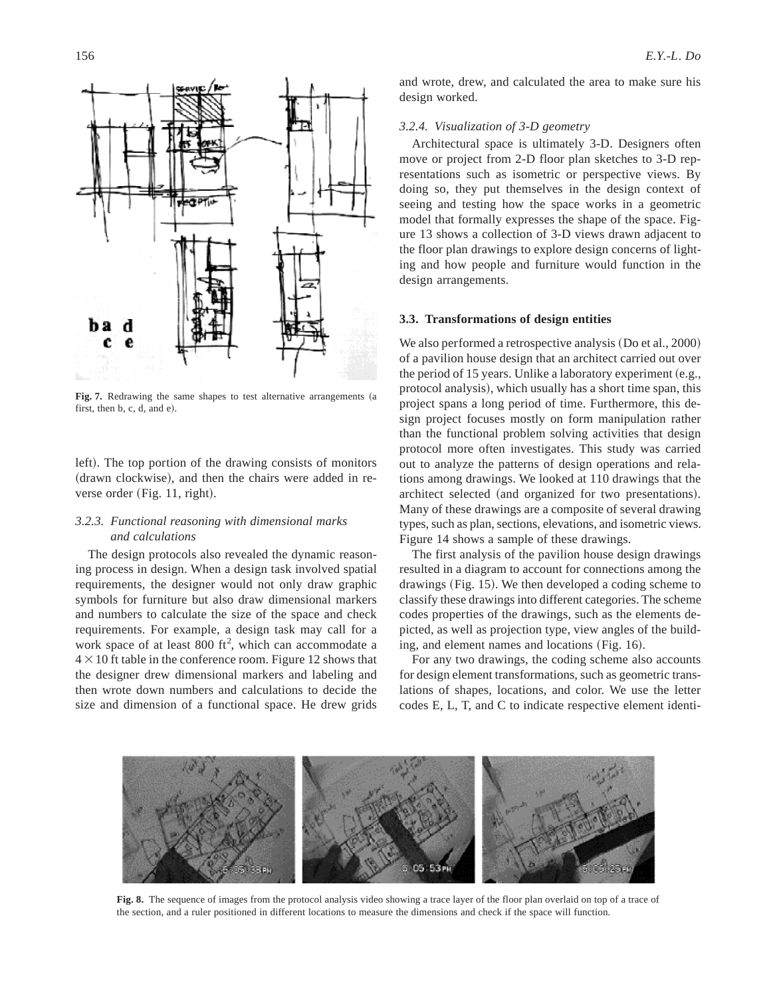

Fig. 7. Redrawing the same shapes to test alternative arrangements (a first, then  $b, c, d$ , and  $e$ ).

left). The top portion of the drawing consists of monitors (drawn clockwise), and then the chairs were added in reverse order  $(Fig. 11, right)$ .

# *3.2.3. Functional reasoning with dimensional marks and calculations*

The design protocols also revealed the dynamic reasoning process in design. When a design task involved spatial requirements, the designer would not only draw graphic symbols for furniture but also draw dimensional markers and numbers to calculate the size of the space and check requirements. For example, a design task may call for a work space of at least  $800$  ft<sup>2</sup>, which can accommodate a  $4 \times 10$  ft table in the conference room. Figure 12 shows that the designer drew dimensional markers and labeling and then wrote down numbers and calculations to decide the size and dimension of a functional space. He drew grids and wrote, drew, and calculated the area to make sure his design worked.

## *3.2.4. Visualization of 3-D geometry*

Architectural space is ultimately 3-D. Designers often move or project from 2-D floor plan sketches to 3-D representations such as isometric or perspective views. By doing so, they put themselves in the design context of seeing and testing how the space works in a geometric model that formally expresses the shape of the space. Figure 13 shows a collection of 3-D views drawn adjacent to the floor plan drawings to explore design concerns of lighting and how people and furniture would function in the design arrangements.

## **3.3. Transformations of design entities**

We also performed a retrospective analysis  $(Do et al., 2000)$ of a pavilion house design that an architect carried out over the period of 15 years. Unlike a laboratory experiment  $(e.g.,)$ protocol analysis), which usually has a short time span, this project spans a long period of time. Furthermore, this design project focuses mostly on form manipulation rather than the functional problem solving activities that design protocol more often investigates. This study was carried out to analyze the patterns of design operations and relations among drawings. We looked at 110 drawings that the architect selected (and organized for two presentations). Many of these drawings are a composite of several drawing types, such as plan, sections, elevations, and isometric views. Figure 14 shows a sample of these drawings.

The first analysis of the pavilion house design drawings resulted in a diagram to account for connections among the drawings  $(Fig. 15)$ . We then developed a coding scheme to classify these drawings into different categories. The scheme codes properties of the drawings, such as the elements depicted, as well as projection type, view angles of the building, and element names and locations  $(Fig. 16)$ .

For any two drawings, the coding scheme also accounts for design element transformations, such as geometric translations of shapes, locations, and color. We use the letter codes E, L, T, and C to indicate respective element identi-



**Fig. 8.** The sequence of images from the protocol analysis video showing a trace layer of the floor plan overlaid on top of a trace of the section, and a ruler positioned in different locations to measure the dimensions and check if the space will function.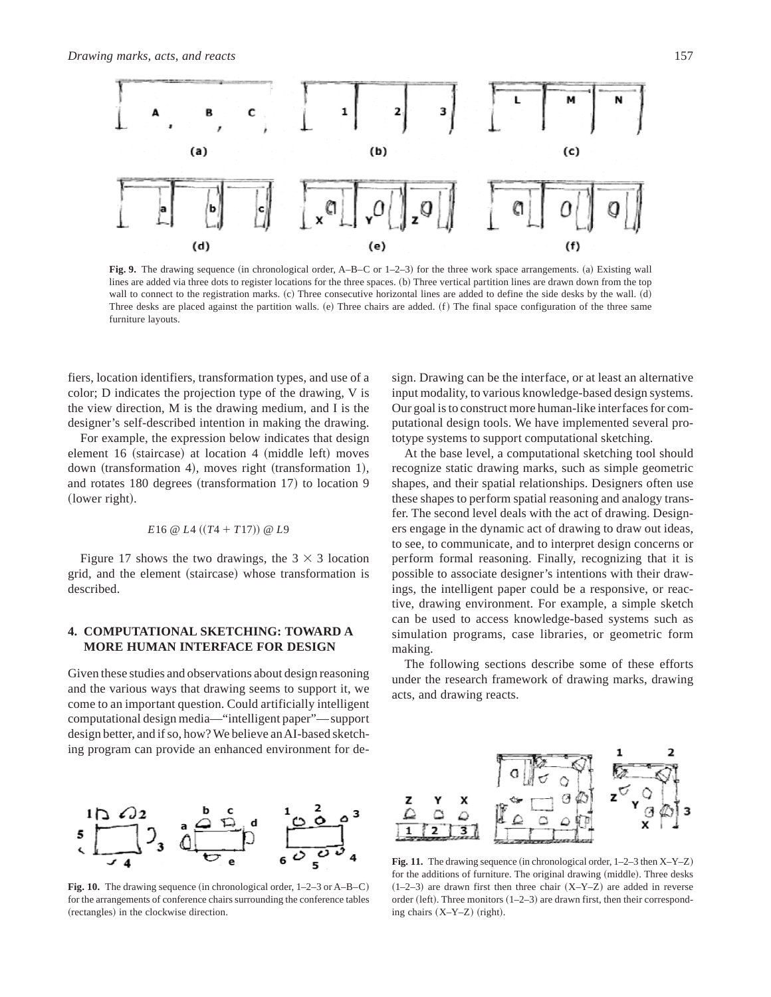

**Fig. 9.** The drawing sequence (in chronological order,  $A-B-C$  or  $1-2-3$ ) for the three work space arrangements. (a) Existing wall lines are added via three dots to register locations for the three spaces. (b) Three vertical partition lines are drawn down from the top wall to connect to the registration marks. (c) Three consecutive horizontal lines are added to define the side desks by the wall. (d) Three desks are placed against the partition walls.  $(e)$  Three chairs are added.  $(f)$  The final space configuration of the three same furniture layouts.

fiers, location identifiers, transformation types, and use of a color; D indicates the projection type of the drawing, V is the view direction, M is the drawing medium, and I is the designer's self-described intention in making the drawing.

For example, the expression below indicates that design element 16 (staircase) at location 4 (middle left) moves down (transformation 4), moves right (transformation 1), and rotates  $180$  degrees (transformation  $17)$  to location  $9$ (lower right).

#### $E16 \n\textcircled{a} L4 ((T4 + T17)) \n\textcircled{a} L9$

Figure 17 shows the two drawings, the  $3 \times 3$  location grid, and the element (staircase) whose transformation is described.

# **4. COMPUTATIONAL SKETCHING: TOWARD A MORE HUMAN INTERFACE FOR DESIGN**

Given these studies and observations about design reasoning and the various ways that drawing seems to support it, we come to an important question. Could artificially intelligent computational design media—"intelligent paper"—support design better, and if so, how? We believe anAI-based sketching program can provide an enhanced environment for de-

**Fig. 10.** The drawing sequence (in chronological order, 1–2–3 or A–B–C) for the arrangements of conference chairs surrounding the conference tables (rectangles) in the clockwise direction.

sign. Drawing can be the interface, or at least an alternative input modality, to various knowledge-based design systems. Our goal is to construct more human-like interfaces for computational design tools. We have implemented several prototype systems to support computational sketching.

At the base level, a computational sketching tool should recognize static drawing marks, such as simple geometric shapes, and their spatial relationships. Designers often use these shapes to perform spatial reasoning and analogy transfer. The second level deals with the act of drawing. Designers engage in the dynamic act of drawing to draw out ideas, to see, to communicate, and to interpret design concerns or perform formal reasoning. Finally, recognizing that it is possible to associate designer's intentions with their drawings, the intelligent paper could be a responsive, or reactive, drawing environment. For example, a simple sketch can be used to access knowledge-based systems such as simulation programs, case libraries, or geometric form making.

The following sections describe some of these efforts under the research framework of drawing marks, drawing acts, and drawing reacts.



**Fig. 11.** The drawing sequence (in chronological order,  $1-2-3$  then  $X-Y-Z$ ) for the additions of furniture. The original drawing (middle). Three desks  $(1–2–3)$  are drawn first then three chair  $(X-Y-Z)$  are added in reverse order (left). Three monitors  $(1–2–3)$  are drawn first, then their corresponding chairs  $(X-Y-Z)$  (right).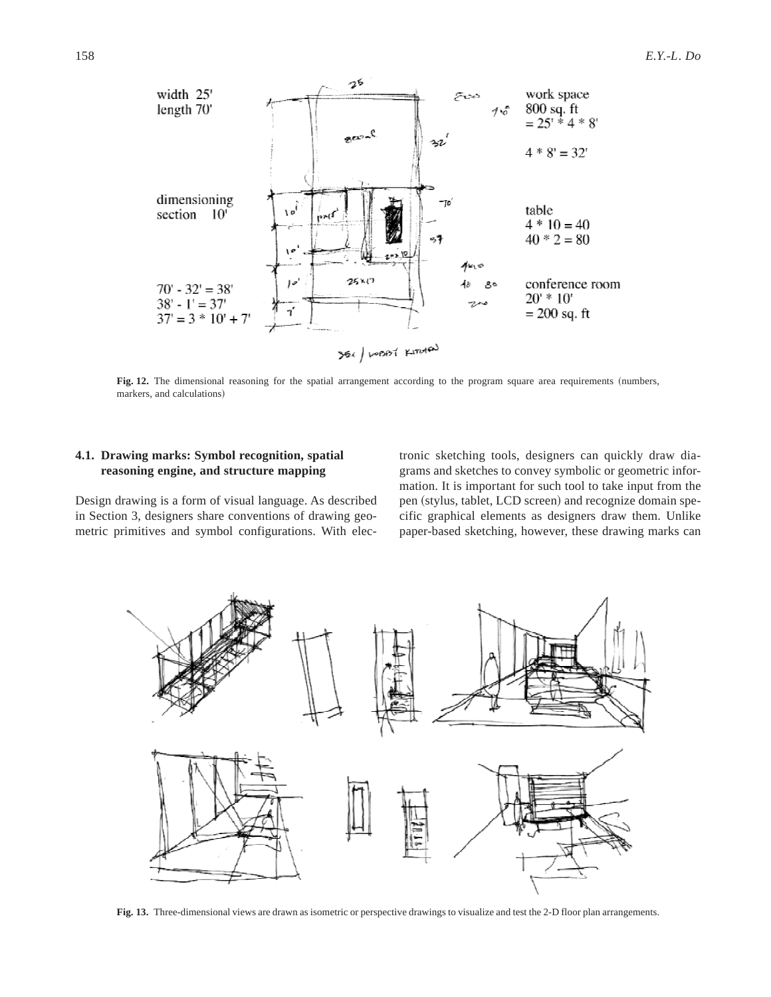

Fig. 12. The dimensional reasoning for the spatial arrangement according to the program square area requirements (numbers, markers, and calculations)

# **4.1. Drawing marks: Symbol recognition, spatial reasoning engine, and structure mapping**

Design drawing is a form of visual language. As described in Section 3, designers share conventions of drawing geometric primitives and symbol configurations. With elec-

tronic sketching tools, designers can quickly draw diagrams and sketches to convey symbolic or geometric information. It is important for such tool to take input from the pen (stylus, tablet, LCD screen) and recognize domain specific graphical elements as designers draw them. Unlike paper-based sketching, however, these drawing marks can



**Fig. 13.** Three-dimensional views are drawn as isometric or perspective drawings to visualize and test the 2-D floor plan arrangements.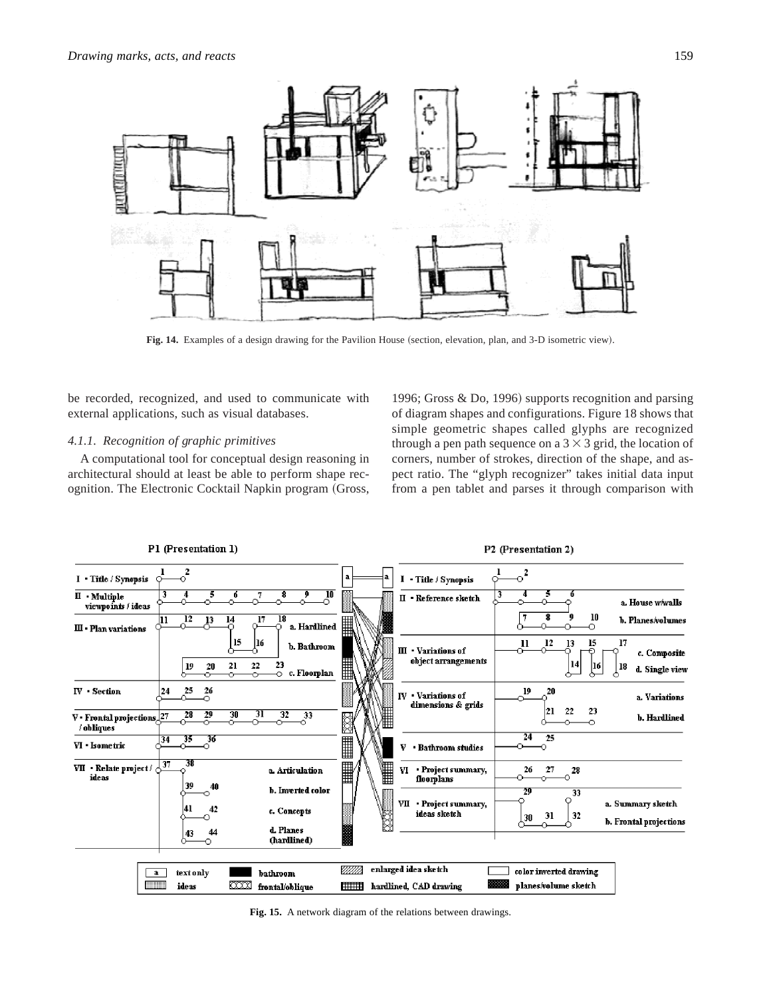

Fig. 14. Examples of a design drawing for the Pavilion House (section, elevation, plan, and 3-D isometric view).

be recorded, recognized, and used to communicate with external applications, such as visual databases.

# *4.1.1. Recognition of graphic primitives*

A computational tool for conceptual design reasoning in architectural should at least be able to perform shape recognition. The Electronic Cocktail Napkin program (Gross,

1996; Gross  $&$  Do, 1996) supports recognition and parsing of diagram shapes and configurations. Figure 18 shows that simple geometric shapes called glyphs are recognized through a pen path sequence on a  $3 \times 3$  grid, the location of corners, number of strokes, direction of the shape, and aspect ratio. The "glyph recognizer" takes initial data input from a pen tablet and parses it through comparison with



**Fig. 15.** A network diagram of the relations between drawings.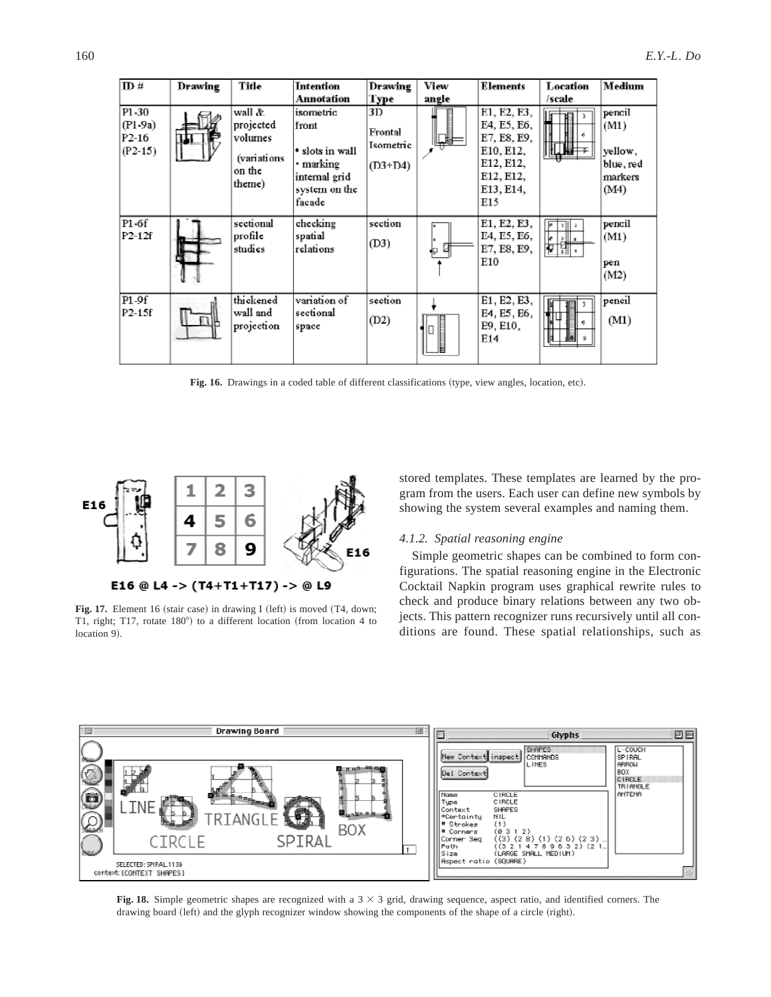| $\mathbf{m}$ #                           | Drawing | Title                                                             | Intention                                                                                      | Drawing                                 | View                      | Elements                                                                                             | Location      | Medium                                                    |
|------------------------------------------|---------|-------------------------------------------------------------------|------------------------------------------------------------------------------------------------|-----------------------------------------|---------------------------|------------------------------------------------------------------------------------------------------|---------------|-----------------------------------------------------------|
|                                          |         |                                                                   | Annotation                                                                                     | Type                                    | angle                     |                                                                                                      | /scale        |                                                           |
| P1-30<br>$(P1-9a)$<br>P2-16<br>$(P2-15)$ |         | wall &<br>projected<br>volumes<br>(variations<br>on the<br>theme) | isometric<br>front<br>• slots in wall<br>• marking<br>internal grid<br>system on the<br>facade | 3D<br>Frontal<br>Isometric<br>$(D3+D4)$ |                           | E1, E2, E3,<br>E4, E5, E6,<br>E7, E8, E9,<br>E10, E12,<br>E12, E12,<br>E12, E12,<br>E13, E14,<br>E15 | Lī            | pencil<br>(M1)<br>yellow,<br>blue, red<br>markers<br>(M4) |
| P1-6f<br>$P2-12f$                        |         | sectional<br>profile<br>studies                                   | checking<br>spatial<br>relations                                                               | section<br>(D3)                         | $\mathbf{p}$ $\mathbf{a}$ | E1, E2, E3,<br>E4, E5, E6,<br>E7, E8, E9,<br>E10                                                     | 剛工<br>E<br>Hd | pencil<br>(M1)<br>pen<br>(M2)                             |
| P1-9f<br>P2-15f                          |         | thickened<br>wall and<br>projection                               | variation of<br>sectional<br>space                                                             | section<br>(D2)                         |                           | E1, E2, E3,<br>E4, E5, E6,<br>E9, E10,<br>E14                                                        |               | pencil<br>(M1)                                            |

Fig. 16. Drawings in a coded table of different classifications (type, view angles, location, etc).



**Fig. 17.** Element 16 (stair case) in drawing I (left) is moved  $(T4, down;$ T1, right; T17, rotate  $180^\circ$ ) to a different location (from location 4 to location 9).

stored templates. These templates are learned by the program from the users. Each user can define new symbols by showing the system several examples and naming them.

# *4.1.2. Spatial reasoning engine*

Simple geometric shapes can be combined to form configurations. The spatial reasoning engine in the Electronic Cocktail Napkin program uses graphical rewrite rules to check and produce binary relations between any two objects. This pattern recognizer runs recursively until all conditions are found. These spatial relationships, such as



**Fig. 18.** Simple geometric shapes are recognized with a  $3 \times 3$  grid, drawing sequence, aspect ratio, and identified corners. The drawing board (left) and the glyph recognizer window showing the components of the shape of a circle (right).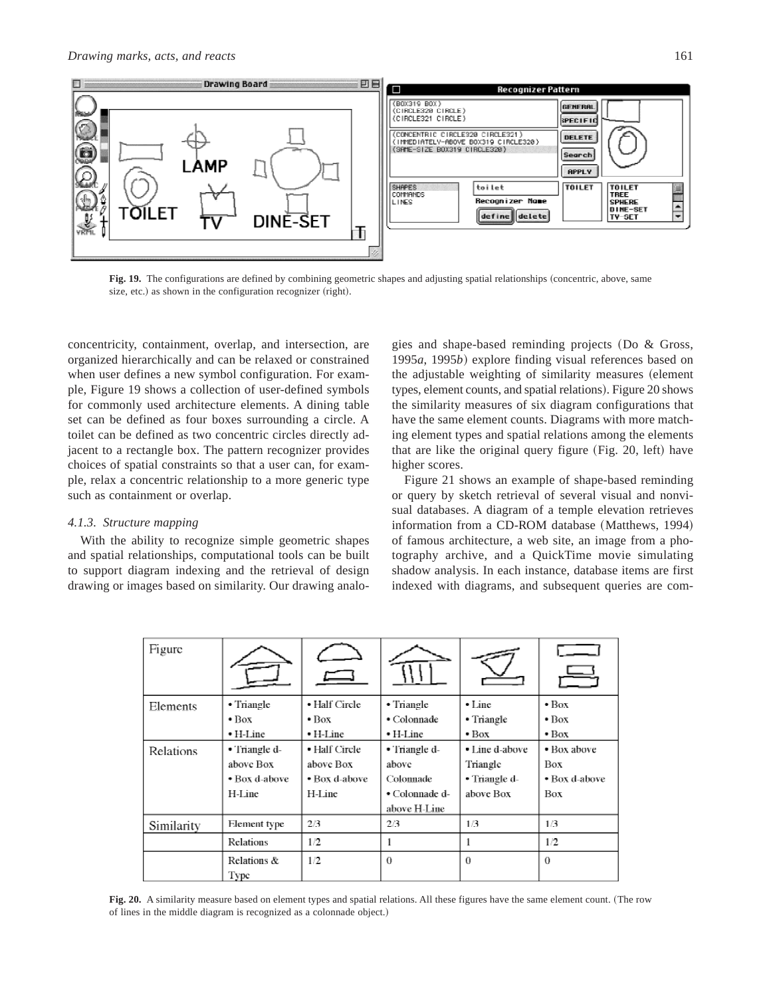

**Fig. 19.** The configurations are defined by combining geometric shapes and adjusting spatial relationships (concentric, above, same size, etc.) as shown in the configuration recognizer (right).

concentricity, containment, overlap, and intersection, are organized hierarchically and can be relaxed or constrained when user defines a new symbol configuration. For example, Figure 19 shows a collection of user-defined symbols for commonly used architecture elements. A dining table set can be defined as four boxes surrounding a circle. A toilet can be defined as two concentric circles directly adjacent to a rectangle box. The pattern recognizer provides choices of spatial constraints so that a user can, for example, relax a concentric relationship to a more generic type such as containment or overlap.

## *4.1.3. Structure mapping*

With the ability to recognize simple geometric shapes and spatial relationships, computational tools can be built to support diagram indexing and the retrieval of design drawing or images based on similarity. Our drawing analo-

gies and shape-based reminding projects (Do  $& Gross,$ 1995*a*, 1995*b*! explore finding visual references based on the adjustable weighting of similarity measures (element types, element counts, and spatial relations). Figure 20 shows the similarity measures of six diagram configurations that have the same element counts. Diagrams with more matching element types and spatial relations among the elements that are like the original query figure (Fig. 20, left) have higher scores.

Figure 21 shows an example of shape-based reminding or query by sketch retrieval of several visual and nonvisual databases. A diagram of a temple elevation retrieves information from a CD-ROM database (Matthews, 1994) of famous architecture, a web site, an image from a photography archive, and a QuickTime movie simulating shadow analysis. In each instance, database items are first indexed with diagrams, and subsequent queries are com-

| • Triangle<br>$\bullet$ Box<br>$\bullet$ H-Line       | • Half Circle<br>$\bullet$ Box<br>$\bullet$ H-Line    | • Triangle<br>• Colonnade<br>$\bullet$ H-Line                         | $\cdot$ Line<br>• Triangle<br>$\bullet$ Box              | $\bullet$ Box<br>$\bullet$ Box<br>$\bullet$ Box   |
|-------------------------------------------------------|-------------------------------------------------------|-----------------------------------------------------------------------|----------------------------------------------------------|---------------------------------------------------|
| • Triangle d-<br>above Box<br>• Box d-above<br>H-Line | • Half Circle<br>above Box<br>• Box d-above<br>H-Line | • Triangle d-<br>above<br>Colonnade<br>• Colonnade d-<br>above H-Line | • Line d-above<br>Triangle<br>• Triangle d-<br>above Box | • Box above<br><b>Box</b><br>• Box d-above<br>Box |
| Element type                                          | 2/3                                                   | 2/3                                                                   | 1/3                                                      | 1/3                                               |
| Relations &                                           | 1/2                                                   | $\Omega$                                                              | $\Omega$                                                 | 1/2<br>0                                          |
|                                                       | Relations<br>Type                                     | 1/2                                                                   |                                                          |                                                   |

Fig. 20. A similarity measure based on element types and spatial relations. All these figures have the same element count. (The row of lines in the middle diagram is recognized as a colonnade object.)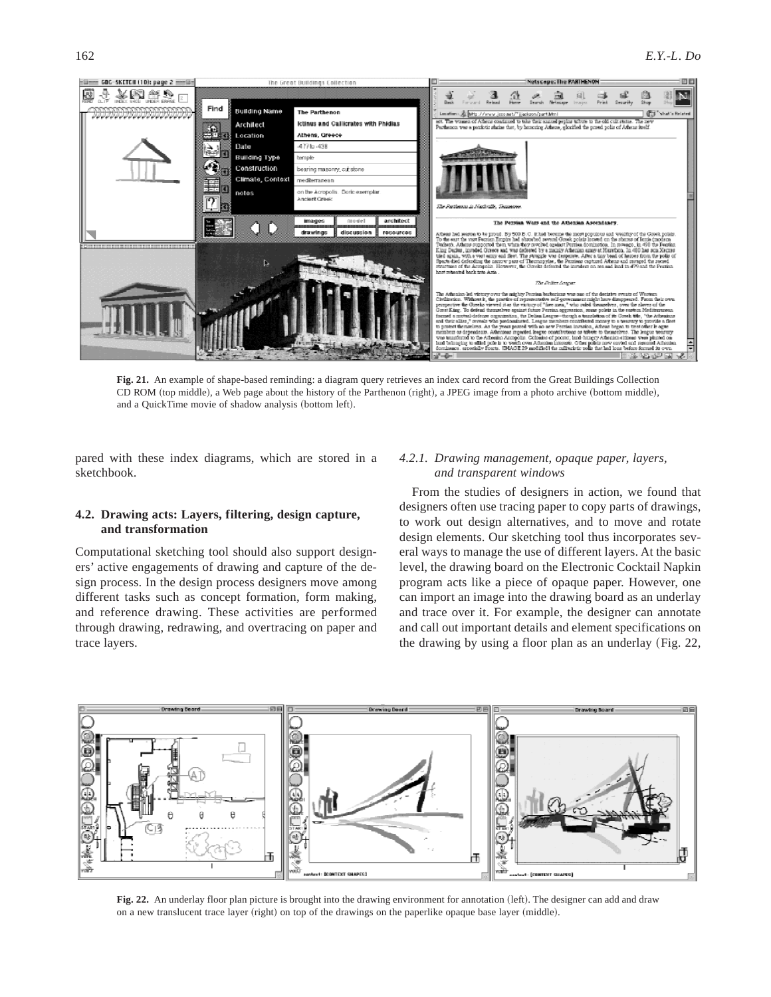

**Fig. 21.** An example of shape-based reminding: a diagram query retrieves an index card record from the Great Buildings Collection CD ROM (top middle), a Web page about the history of the Parthenon (right), a JPEG image from a photo archive (bottom middle), and a QuickTime movie of shadow analysis (bottom left).

pared with these index diagrams, which are stored in a sketchbook.

# **4.2. Drawing acts: Layers, filtering, design capture, and transformation**

Computational sketching tool should also support designers' active engagements of drawing and capture of the design process. In the design process designers move among different tasks such as concept formation, form making, and reference drawing. These activities are performed through drawing, redrawing, and overtracing on paper and trace layers.

# *4.2.1. Drawing management, opaque paper, layers, and transparent windows*

From the studies of designers in action, we found that designers often use tracing paper to copy parts of drawings, to work out design alternatives, and to move and rotate design elements. Our sketching tool thus incorporates several ways to manage the use of different layers. At the basic level, the drawing board on the Electronic Cocktail Napkin program acts like a piece of opaque paper. However, one can import an image into the drawing board as an underlay and trace over it. For example, the designer can annotate and call out important details and element specifications on the drawing by using a floor plan as an underlay (Fig.  $22$ ,



**Fig. 22.** An underlay floor plan picture is brought into the drawing environment for annotation (left). The designer can add and draw on a new translucent trace layer (right) on top of the drawings on the paperlike opaque base layer (middle).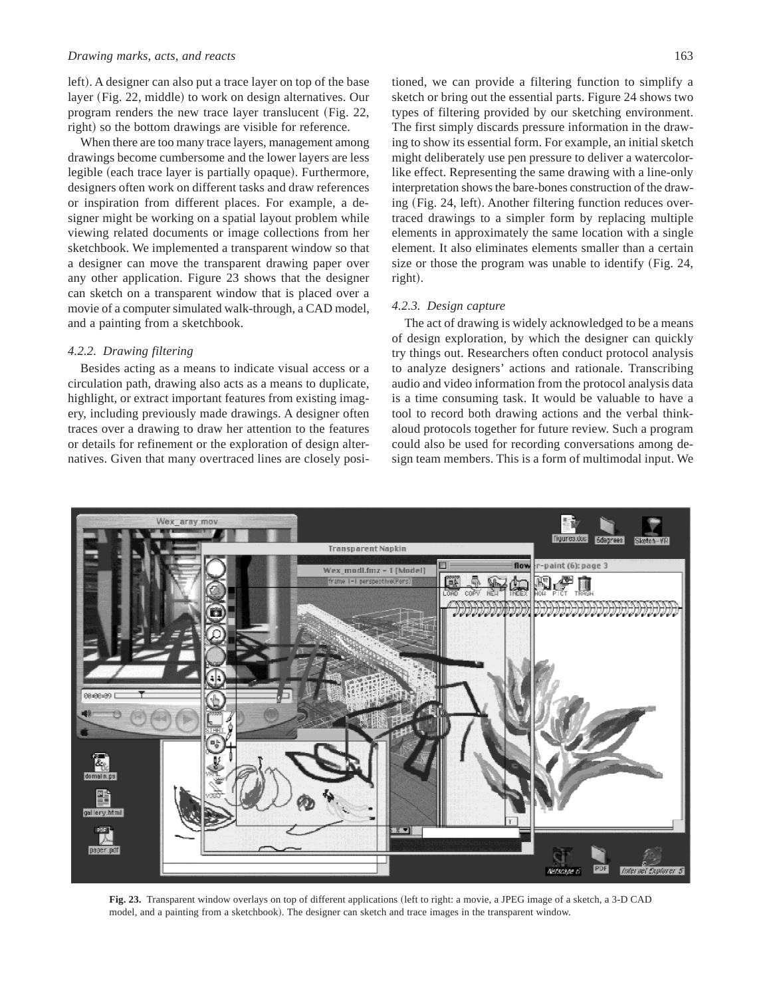## *Drawing marks, acts, and reacts* 163

left). A designer can also put a trace layer on top of the base layer (Fig. 22, middle) to work on design alternatives. Our program renders the new trace layer translucent  $(Fig. 22,$ right) so the bottom drawings are visible for reference.

When there are too many trace layers, management among drawings become cumbersome and the lower layers are less legible (each trace layer is partially opaque). Furthermore, designers often work on different tasks and draw references or inspiration from different places. For example, a designer might be working on a spatial layout problem while viewing related documents or image collections from her sketchbook. We implemented a transparent window so that a designer can move the transparent drawing paper over any other application. Figure 23 shows that the designer can sketch on a transparent window that is placed over a movie of a computer simulated walk-through, a CAD model, and a painting from a sketchbook.

# *4.2.2. Drawing filtering*

Besides acting as a means to indicate visual access or a circulation path, drawing also acts as a means to duplicate, highlight, or extract important features from existing imagery, including previously made drawings. A designer often traces over a drawing to draw her attention to the features or details for refinement or the exploration of design alternatives. Given that many overtraced lines are closely posi-

tioned, we can provide a filtering function to simplify a sketch or bring out the essential parts. Figure 24 shows two types of filtering provided by our sketching environment. The first simply discards pressure information in the drawing to show its essential form. For example, an initial sketch might deliberately use pen pressure to deliver a watercolorlike effect. Representing the same drawing with a line-only interpretation shows the bare-bones construction of the drawing  $(Fig. 24, left)$ . Another filtering function reduces overtraced drawings to a simpler form by replacing multiple elements in approximately the same location with a single element. It also eliminates elements smaller than a certain size or those the program was unable to identify  $(Fig. 24,$ right).

# *4.2.3. Design capture*

The act of drawing is widely acknowledged to be a means of design exploration, by which the designer can quickly try things out. Researchers often conduct protocol analysis to analyze designers' actions and rationale. Transcribing audio and video information from the protocol analysis data is a time consuming task. It would be valuable to have a tool to record both drawing actions and the verbal thinkaloud protocols together for future review. Such a program could also be used for recording conversations among design team members. This is a form of multimodal input. We



Fig. 23. Transparent window overlays on top of different applications (left to right: a movie, a JPEG image of a sketch, a 3-D CAD model, and a painting from a sketchbook). The designer can sketch and trace images in the transparent window.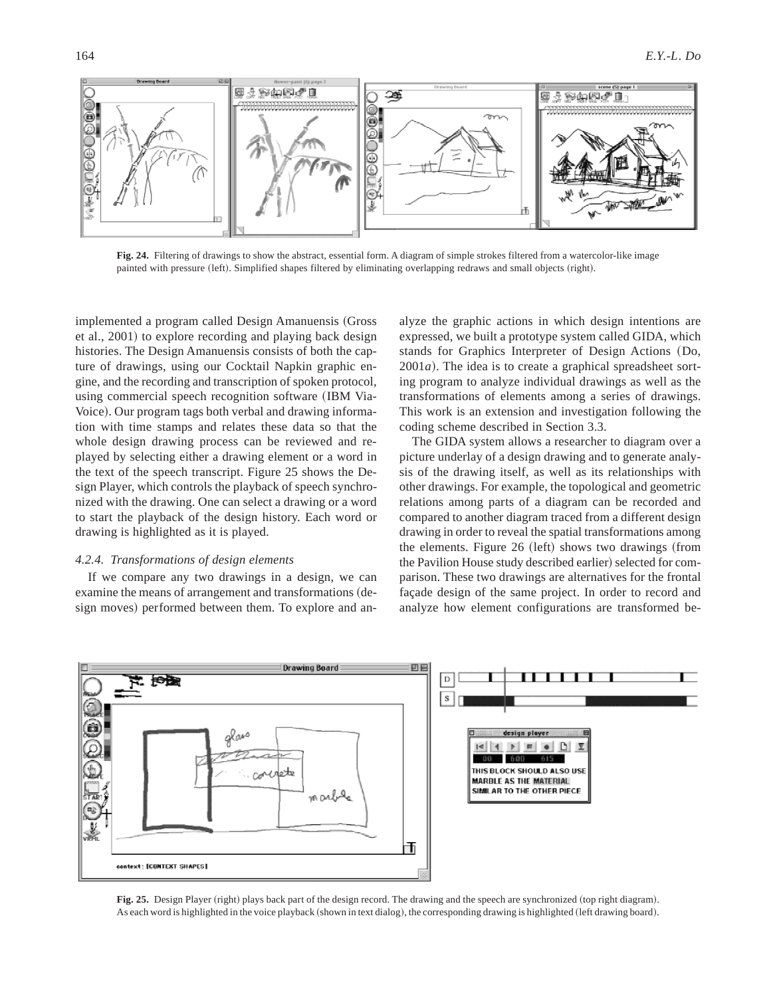

**Fig. 24.** Filtering of drawings to show the abstract, essential form. A diagram of simple strokes filtered from a watercolor-like image painted with pressure (left). Simplified shapes filtered by eliminating overlapping redraws and small objects (right).

implemented a program called Design Amanuensis (Gross et al., 2001) to explore recording and playing back design histories. The Design Amanuensis consists of both the capture of drawings, using our Cocktail Napkin graphic engine, and the recording and transcription of spoken protocol, using commercial speech recognition software (IBM Via-Voice). Our program tags both verbal and drawing information with time stamps and relates these data so that the whole design drawing process can be reviewed and replayed by selecting either a drawing element or a word in the text of the speech transcript. Figure 25 shows the Design Player, which controls the playback of speech synchronized with the drawing. One can select a drawing or a word to start the playback of the design history. Each word or drawing is highlighted as it is played.

## *4.2.4. Transformations of design elements*

If we compare any two drawings in a design, we can examine the means of arrangement and transformations (design moves) performed between them. To explore and an-

alyze the graphic actions in which design intentions are expressed, we built a prototype system called GIDA, which stands for Graphics Interpreter of Design Actions (Do,  $2001a$ ). The idea is to create a graphical spreadsheet sorting program to analyze individual drawings as well as the transformations of elements among a series of drawings. This work is an extension and investigation following the coding scheme described in Section 3.3.

The GIDA system allows a researcher to diagram over a picture underlay of a design drawing and to generate analysis of the drawing itself, as well as its relationships with other drawings. For example, the topological and geometric relations among parts of a diagram can be recorded and compared to another diagram traced from a different design drawing in order to reveal the spatial transformations among the elements. Figure  $26$  (left) shows two drawings (from the Pavilion House study described earlier) selected for comparison. These two drawings are alternatives for the frontal façade design of the same project. In order to record and analyze how element configurations are transformed be-



Fig. 25. Design Player (right) plays back part of the design record. The drawing and the speech are synchronized (top right diagram). As each word is highlighted in the voice playback (shown in text dialog), the corresponding drawing is highlighted (left drawing board).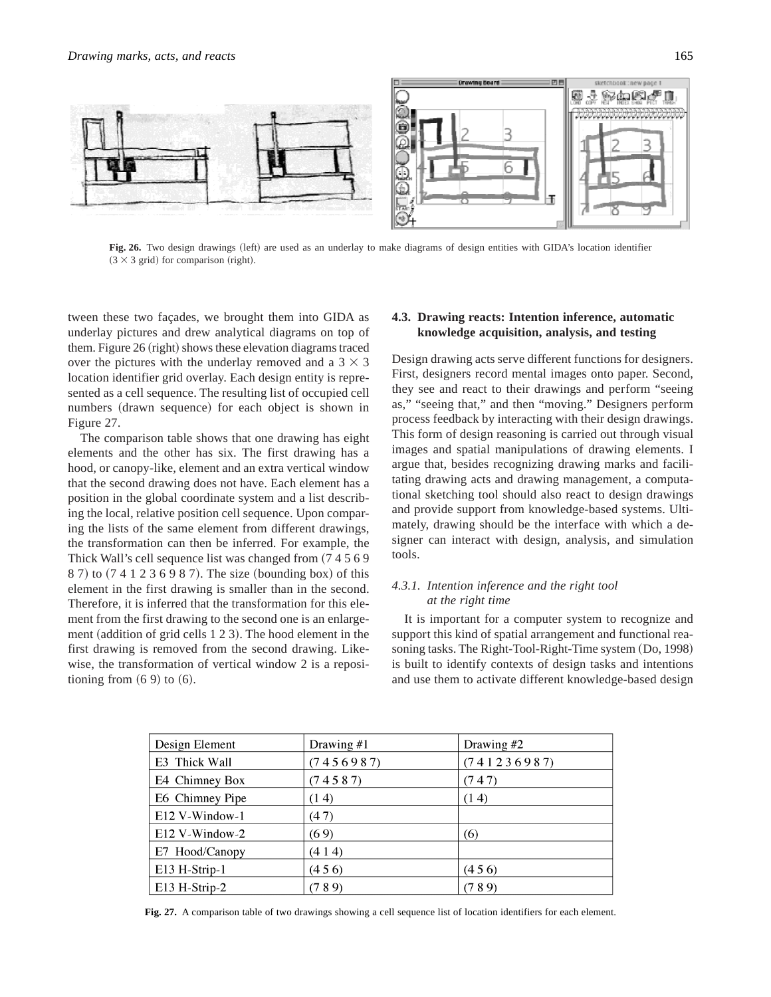

Fig. 26. Two design drawings (left) are used as an underlay to make diagrams of design entities with GIDA's location identifier  $(3 \times 3$  grid) for comparison (right).

tween these two façades, we brought them into GIDA as underlay pictures and drew analytical diagrams on top of them. Figure  $26$  (right) shows these elevation diagrams traced over the pictures with the underlay removed and a  $3 \times 3$ location identifier grid overlay. Each design entity is represented as a cell sequence. The resulting list of occupied cell numbers (drawn sequence) for each object is shown in Figure 27.

The comparison table shows that one drawing has eight elements and the other has six. The first drawing has a hood, or canopy-like, element and an extra vertical window that the second drawing does not have. Each element has a position in the global coordinate system and a list describing the local, relative position cell sequence. Upon comparing the lists of the same element from different drawings, the transformation can then be inferred. For example, the Thick Wall's cell sequence list was changed from  $(74569)$ 8 7) to (7 4 1 2 3 6 9 8 7). The size (bounding box) of this element in the first drawing is smaller than in the second. Therefore, it is inferred that the transformation for this element from the first drawing to the second one is an enlargement (addition of grid cells  $123$ ). The hood element in the first drawing is removed from the second drawing. Likewise, the transformation of vertical window 2 is a repositioning from  $(6 9)$  to  $(6)$ .

# **4.3. Drawing reacts: Intention inference, automatic knowledge acquisition, analysis, and testing**

Design drawing acts serve different functions for designers. First, designers record mental images onto paper. Second, they see and react to their drawings and perform "seeing as," "seeing that," and then "moving." Designers perform process feedback by interacting with their design drawings. This form of design reasoning is carried out through visual images and spatial manipulations of drawing elements. I argue that, besides recognizing drawing marks and facilitating drawing acts and drawing management, a computational sketching tool should also react to design drawings and provide support from knowledge-based systems. Ultimately, drawing should be the interface with which a designer can interact with design, analysis, and simulation tools.

## *4.3.1. Intention inference and the right tool at the right time*

It is important for a computer system to recognize and support this kind of spatial arrangement and functional reasoning tasks. The Right-Tool-Right-Time system (Do, 1998) is built to identify contexts of design tasks and intentions and use them to activate different knowledge-based design

| Design Element  | Drawing $#1$ | Drawing $#2$ |  |
|-----------------|--------------|--------------|--|
| E3 Thick Wall   | (7456987)    | (741236987)  |  |
| E4 Chimney Box  | (74587)      | (747)        |  |
| E6 Chimney Pipe | (14)         | (14)         |  |
| E12 V-Window-1  | (47)         |              |  |
| E12 V-Window-2  | (69)         | (6)          |  |
| E7 Hood/Canopy  | (414)        |              |  |
| E13 H-Strip-1   | (456)        | (456)        |  |
| E13 H-Strip-2   | (789)        | (789)        |  |

**Fig. 27.** A comparison table of two drawings showing a cell sequence list of location identifiers for each element.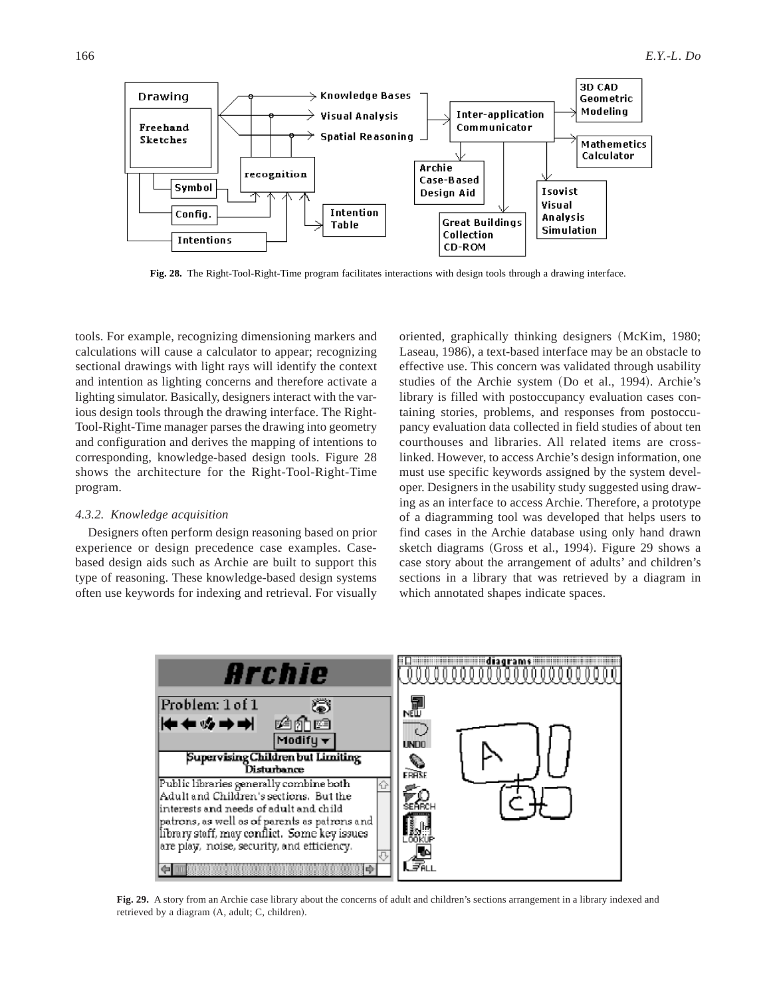

**Fig. 28.** The Right-Tool-Right-Time program facilitates interactions with design tools through a drawing interface.

tools. For example, recognizing dimensioning markers and calculations will cause a calculator to appear; recognizing sectional drawings with light rays will identify the context and intention as lighting concerns and therefore activate a lighting simulator. Basically, designers interact with the various design tools through the drawing interface. The Right-Tool-Right-Time manager parses the drawing into geometry and configuration and derives the mapping of intentions to corresponding, knowledge-based design tools. Figure 28 shows the architecture for the Right-Tool-Right-Time program.

## *4.3.2. Knowledge acquisition*

Designers often perform design reasoning based on prior experience or design precedence case examples. Casebased design aids such as Archie are built to support this type of reasoning. These knowledge-based design systems often use keywords for indexing and retrieval. For visually

oriented, graphically thinking designers (McKim, 1980; Laseau, 1986), a text-based interface may be an obstacle to effective use. This concern was validated through usability studies of the Archie system (Do et al., 1994). Archie's library is filled with postoccupancy evaluation cases containing stories, problems, and responses from postoccupancy evaluation data collected in field studies of about ten courthouses and libraries. All related items are crosslinked. However, to access Archie's design information, one must use specific keywords assigned by the system developer. Designers in the usability study suggested using drawing as an interface to access Archie. Therefore, a prototype of a diagramming tool was developed that helps users to find cases in the Archie database using only hand drawn sketch diagrams (Gross et al., 1994). Figure 29 shows a case story about the arrangement of adults' and children's sections in a library that was retrieved by a diagram in which annotated shapes indicate spaces.



**Fig. 29.** A story from an Archie case library about the concerns of adult and children's sections arrangement in a library indexed and retrieved by a diagram (A, adult; C, children).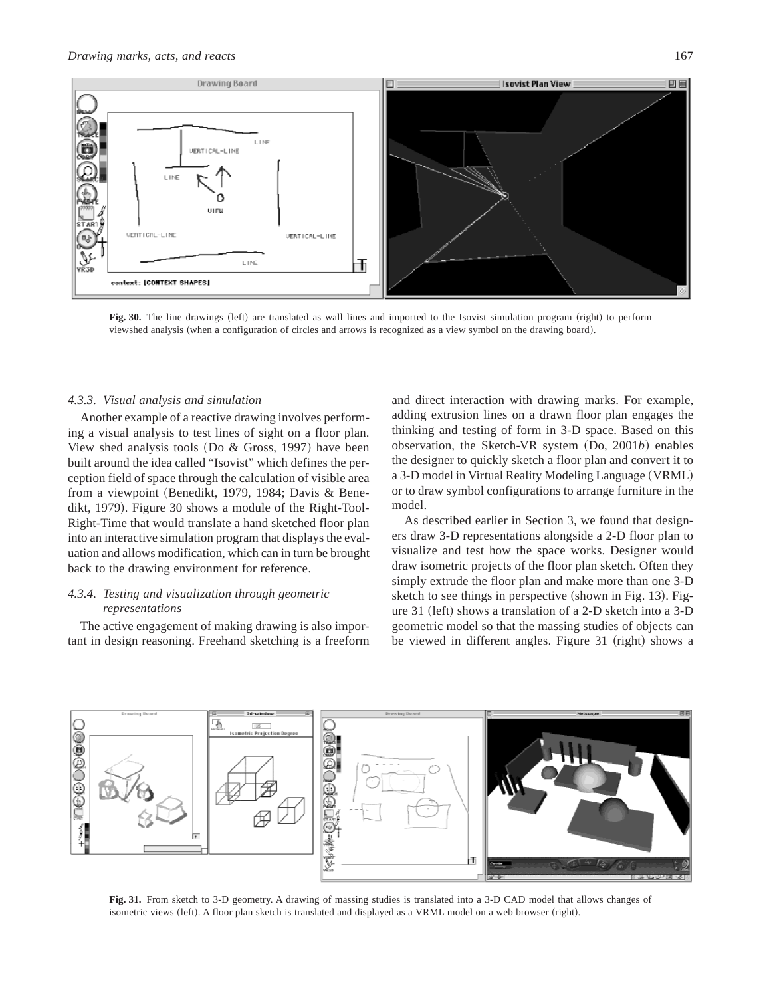

Fig. 30. The line drawings (left) are translated as wall lines and imported to the Isovist simulation program (right) to perform viewshed analysis (when a configuration of circles and arrows is recognized as a view symbol on the drawing board).

# *4.3.3. Visual analysis and simulation*

Another example of a reactive drawing involves performing a visual analysis to test lines of sight on a floor plan. View shed analysis tools (Do  $& Gross, 1997$ ) have been built around the idea called "Isovist" which defines the perception field of space through the calculation of visible area from a viewpoint (Benedikt, 1979, 1984; Davis & Benedikt, 1979). Figure 30 shows a module of the Right-Tool-Right-Time that would translate a hand sketched floor plan into an interactive simulation program that displays the evaluation and allows modification, which can in turn be brought back to the drawing environment for reference.

# *4.3.4. Testing and visualization through geometric representations*

The active engagement of making drawing is also important in design reasoning. Freehand sketching is a freeform and direct interaction with drawing marks. For example, adding extrusion lines on a drawn floor plan engages the thinking and testing of form in 3-D space. Based on this observation, the Sketch-VR system (Do, 2001*b*) enables the designer to quickly sketch a floor plan and convert it to a 3-D model in Virtual Reality Modeling Language (VRML) or to draw symbol configurations to arrange furniture in the model.

As described earlier in Section 3, we found that designers draw 3-D representations alongside a 2-D floor plan to visualize and test how the space works. Designer would draw isometric projects of the floor plan sketch. Often they simply extrude the floor plan and make more than one 3-D sketch to see things in perspective  $(s$ hown in Fig. 13). Figure 31 (left) shows a translation of a 2-D sketch into a  $3-D$ geometric model so that the massing studies of objects can be viewed in different angles. Figure 31 (right) shows a



**Fig. 31.** From sketch to 3-D geometry. A drawing of massing studies is translated into a 3-D CAD model that allows changes of isometric views (left). A floor plan sketch is translated and displayed as a VRML model on a web browser (right).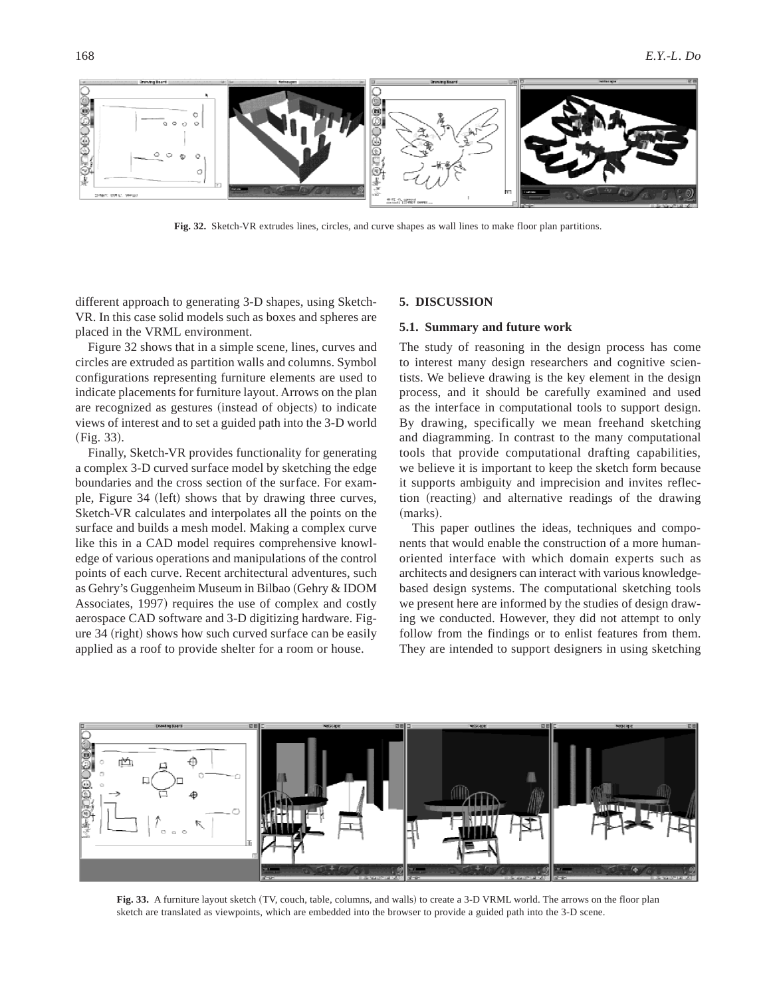

**Fig. 32.** Sketch-VR extrudes lines, circles, and curve shapes as wall lines to make floor plan partitions.

different approach to generating 3-D shapes, using Sketch-VR. In this case solid models such as boxes and spheres are placed in the VRML environment.

Figure 32 shows that in a simple scene, lines, curves and circles are extruded as partition walls and columns. Symbol configurations representing furniture elements are used to indicate placements for furniture layout. Arrows on the plan are recognized as gestures (instead of objects) to indicate views of interest and to set a guided path into the 3-D world  $(Fig. 33).$ 

Finally, Sketch-VR provides functionality for generating a complex 3-D curved surface model by sketching the edge boundaries and the cross section of the surface. For example, Figure 34 (left) shows that by drawing three curves, Sketch-VR calculates and interpolates all the points on the surface and builds a mesh model. Making a complex curve like this in a CAD model requires comprehensive knowledge of various operations and manipulations of the control points of each curve. Recent architectural adventures, such as Gehry's Guggenheim Museum in Bilbao (Gehry & IDOM Associates, 1997) requires the use of complex and costly aerospace CAD software and 3-D digitizing hardware. Figure  $34$  (right) shows how such curved surface can be easily applied as a roof to provide shelter for a room or house.

#### **5. DISCUSSION**

## **5.1. Summary and future work**

The study of reasoning in the design process has come to interest many design researchers and cognitive scientists. We believe drawing is the key element in the design process, and it should be carefully examined and used as the interface in computational tools to support design. By drawing, specifically we mean freehand sketching and diagramming. In contrast to the many computational tools that provide computational drafting capabilities, we believe it is important to keep the sketch form because it supports ambiguity and imprecision and invites reflection (reacting) and alternative readings of the drawing (marks).

This paper outlines the ideas, techniques and components that would enable the construction of a more humanoriented interface with which domain experts such as architects and designers can interact with various knowledgebased design systems. The computational sketching tools we present here are informed by the studies of design drawing we conducted. However, they did not attempt to only follow from the findings or to enlist features from them. They are intended to support designers in using sketching



Fig. 33. A furniture layout sketch (TV, couch, table, columns, and walls) to create a 3-D VRML world. The arrows on the floor plan sketch are translated as viewpoints, which are embedded into the browser to provide a guided path into the 3-D scene.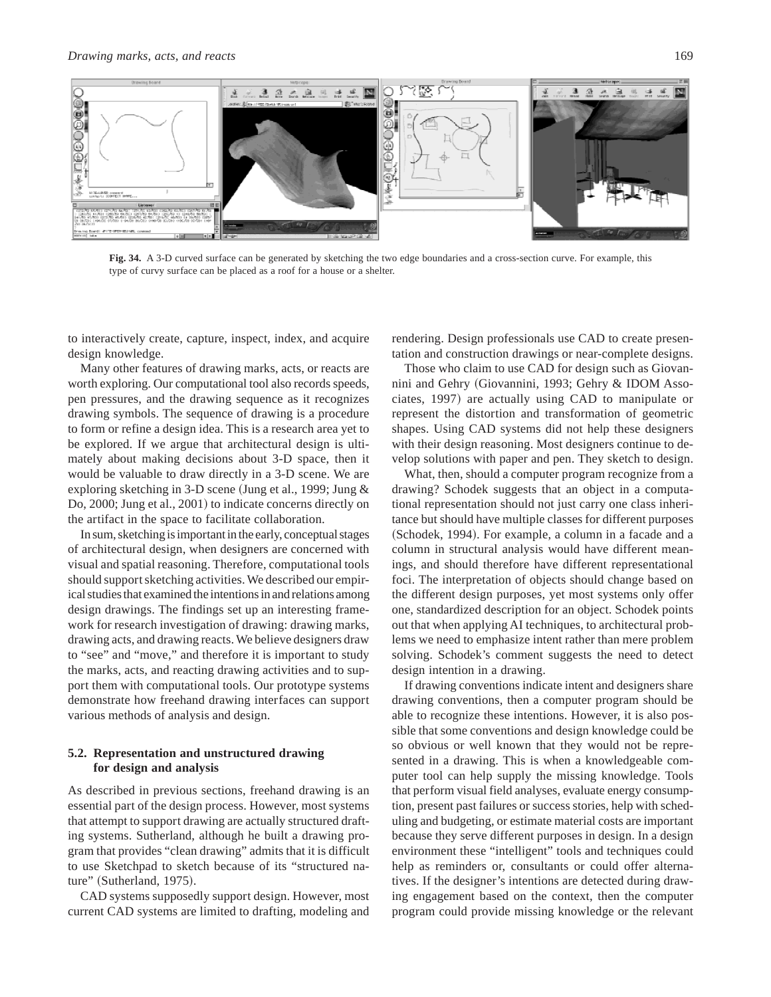

**Fig. 34.** A 3-D curved surface can be generated by sketching the two edge boundaries and a cross-section curve. For example, this type of curvy surface can be placed as a roof for a house or a shelter.

to interactively create, capture, inspect, index, and acquire design knowledge.

Many other features of drawing marks, acts, or reacts are worth exploring. Our computational tool also records speeds, pen pressures, and the drawing sequence as it recognizes drawing symbols. The sequence of drawing is a procedure to form or refine a design idea. This is a research area yet to be explored. If we argue that architectural design is ultimately about making decisions about 3-D space, then it would be valuable to draw directly in a 3-D scene. We are exploring sketching in 3-D scene (Jung et al., 1999; Jung  $&$ Do, 2000; Jung et al., 2001) to indicate concerns directly on the artifact in the space to facilitate collaboration.

In sum, sketching is important in the early, conceptual stages of architectural design, when designers are concerned with visual and spatial reasoning. Therefore, computational tools should support sketching activities. We described our empirical studies that examined the intentions in and relations among design drawings. The findings set up an interesting framework for research investigation of drawing: drawing marks, drawing acts, and drawing reacts. We believe designers draw to "see" and "move," and therefore it is important to study the marks, acts, and reacting drawing activities and to support them with computational tools. Our prototype systems demonstrate how freehand drawing interfaces can support various methods of analysis and design.

# **5.2. Representation and unstructured drawing for design and analysis**

As described in previous sections, freehand drawing is an essential part of the design process. However, most systems that attempt to support drawing are actually structured drafting systems. Sutherland, although he built a drawing program that provides "clean drawing" admits that it is difficult to use Sketchpad to sketch because of its "structured nature" (Sutherland, 1975).

CAD systems supposedly support design. However, most current CAD systems are limited to drafting, modeling and rendering. Design professionals use CAD to create presentation and construction drawings or near-complete designs.

Those who claim to use CAD for design such as Giovannini and Gehry (Giovannini, 1993; Gehry & IDOM Associates, 1997) are actually using CAD to manipulate or represent the distortion and transformation of geometric shapes. Using CAD systems did not help these designers with their design reasoning. Most designers continue to develop solutions with paper and pen. They sketch to design.

What, then, should a computer program recognize from a drawing? Schodek suggests that an object in a computational representation should not just carry one class inheritance but should have multiple classes for different purposes (Schodek, 1994). For example, a column in a facade and a column in structural analysis would have different meanings, and should therefore have different representational foci. The interpretation of objects should change based on the different design purposes, yet most systems only offer one, standardized description for an object. Schodek points out that when applying AI techniques, to architectural problems we need to emphasize intent rather than mere problem solving. Schodek's comment suggests the need to detect design intention in a drawing.

If drawing conventions indicate intent and designers share drawing conventions, then a computer program should be able to recognize these intentions. However, it is also possible that some conventions and design knowledge could be so obvious or well known that they would not be represented in a drawing. This is when a knowledgeable computer tool can help supply the missing knowledge. Tools that perform visual field analyses, evaluate energy consumption, present past failures or success stories, help with scheduling and budgeting, or estimate material costs are important because they serve different purposes in design. In a design environment these "intelligent" tools and techniques could help as reminders or, consultants or could offer alternatives. If the designer's intentions are detected during drawing engagement based on the context, then the computer program could provide missing knowledge or the relevant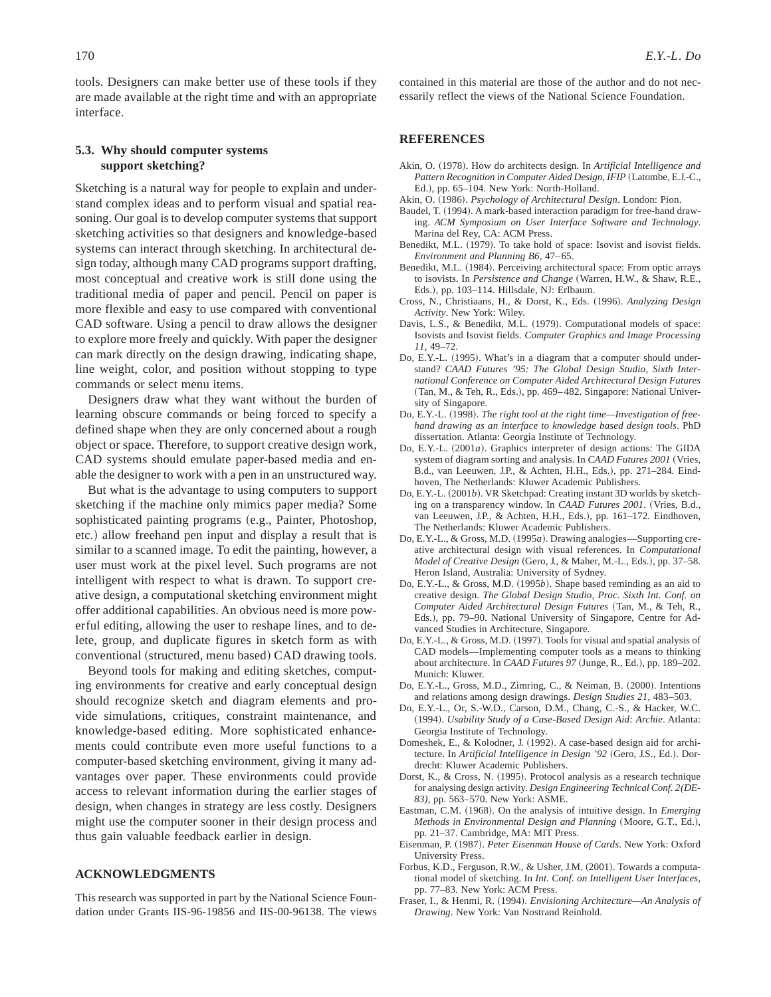# **5.3. Why should computer systems support sketching?**

Sketching is a natural way for people to explain and understand complex ideas and to perform visual and spatial reasoning. Our goal is to develop computer systems that support sketching activities so that designers and knowledge-based systems can interact through sketching. In architectural design today, although many CAD programs support drafting, most conceptual and creative work is still done using the traditional media of paper and pencil. Pencil on paper is more flexible and easy to use compared with conventional CAD software. Using a pencil to draw allows the designer to explore more freely and quickly. With paper the designer can mark directly on the design drawing, indicating shape, line weight, color, and position without stopping to type commands or select menu items.

Designers draw what they want without the burden of learning obscure commands or being forced to specify a defined shape when they are only concerned about a rough object or space. Therefore, to support creative design work, CAD systems should emulate paper-based media and enable the designer to work with a pen in an unstructured way.

But what is the advantage to using computers to support sketching if the machine only mimics paper media? Some sophisticated painting programs (e.g., Painter, Photoshop, etc.) allow freehand pen input and display a result that is similar to a scanned image. To edit the painting, however, a user must work at the pixel level. Such programs are not intelligent with respect to what is drawn. To support creative design, a computational sketching environment might offer additional capabilities. An obvious need is more powerful editing, allowing the user to reshape lines, and to delete, group, and duplicate figures in sketch form as with conventional (structured, menu based) CAD drawing tools.

Beyond tools for making and editing sketches, computing environments for creative and early conceptual design should recognize sketch and diagram elements and provide simulations, critiques, constraint maintenance, and knowledge-based editing. More sophisticated enhancements could contribute even more useful functions to a computer-based sketching environment, giving it many advantages over paper. These environments could provide access to relevant information during the earlier stages of design, when changes in strategy are less costly. Designers might use the computer sooner in their design process and thus gain valuable feedback earlier in design.

## **ACKNOWLEDGMENTS**

This research was supported in part by the National Science Foundation under Grants IIS-96-19856 and IIS-00-96138. The views contained in this material are those of the author and do not necessarily reflect the views of the National Science Foundation.

## **REFERENCES**

- Akin, O. (1978). How do architects design. In *Artificial Intelligence and Pattern Recognition in Computer Aided Design, IFIP* (Latombe, E.J.-C., Ed.), pp. 65-104. New York: North-Holland.
- Akin, O. (1986). *Psychology of Architectural Design*. London: Pion.
- Baudel, T. (1994). A mark-based interaction paradigm for free-hand drawing. *ACM Symposium on User Interface Software and Technology*. Marina del Rey, CA: ACM Press.
- Benedikt, M.L. (1979). To take hold of space: Isovist and isovist fields. *Environment and Planning B6*, 47– 65.
- Benedikt, M.L. (1984). Perceiving architectural space: From optic arrays to isovists. In *Persistence and Change* (Warren, H.W., & Shaw, R.E., Eds.!, pp. 103–114. Hillsdale, NJ: Erlbaum.
- Cross, N., Christiaans, H., & Dorst, K., Eds. ~1996!. *Analyzing Design Activity*. New York: Wiley.
- Davis, L.S., & Benedikt, M.L. (1979). Computational models of space: Isovists and Isovist fields. *Computer Graphics and Image Processing 11*, 49–72.
- Do, E.Y.-L. (1995). What's in a diagram that a computer should understand? *CAAD Futures '95: The Global Design Studio, Sixth International Conference on Computer Aided Architectural Design Futures* (Tan, M., & Teh, R., Eds.), pp. 469-482. Singapore: National University of Singapore.
- Do, E.Y.-L. (1998). *The right tool at the right time--Investigation of freehand drawing as an interface to knowledge based design tools*. PhD dissertation. Atlanta: Georgia Institute of Technology.
- Do, E.Y.-L.  $(2001a)$ . Graphics interpreter of design actions: The GIDA system of diagram sorting and analysis. In *CAAD Futures* 2001 (Vries, B.d., van Leeuwen, J.P., & Achten, H.H., Eds.), pp. 271-284. Eindhoven, The Netherlands: Kluwer Academic Publishers.
- Do, E.Y.-L. (2001*b*). VR Sketchpad: Creating instant 3D worlds by sketching on a transparency window. In *CAAD Futures 2001*. (Vries, B.d., van Leeuwen, J.P., & Achten, H.H., Eds.), pp. 161-172. Eindhoven, The Netherlands: Kluwer Academic Publishers.
- Do, E.Y.-L., & Gross, M.D. (1995*a*). Drawing analogies—Supporting creative architectural design with visual references. In *Computational Model of Creative Design* (Gero, J., & Maher, M.-L., Eds.), pp. 37-58. Heron Island, Australia: University of Sydney.
- Do, E.Y.-L., & Gross, M.D. (1995*b*). Shape based reminding as an aid to creative design. *The Global Design Studio, Proc. Sixth Int. Conf. on Computer Aided Architectural Design Futures* ~Tan, M., & Teh, R., Eds.), pp. 79–90. National University of Singapore, Centre for Advanced Studies in Architecture, Singapore.
- Do, E.Y.-L.,  $&$  Gross, M.D. (1997). Tools for visual and spatial analysis of CAD models—Implementing computer tools as a means to thinking about architecture. In *CAAD Futures 97* (Junge, R., Ed.), pp. 189-202. Munich: Kluwer.
- Do, E.Y.-L., Gross, M.D., Zimring, C., & Neiman, B. (2000). Intentions and relations among design drawings. *Design Studies 21*, 483–503.
- Do, E.Y.-L., Or, S.-W.D., Carson, D.M., Chang, C.-S., & Hacker, W.C. ~1994!. *Usability Study of a Case-Based Design Aid: Archie*. Atlanta: Georgia Institute of Technology.
- Domeshek, E., & Kolodner, J. (1992). A case-based design aid for architecture. In Artificial Intelligence in Design '92 (Gero, J.S., Ed.). Dordrecht: Kluwer Academic Publishers.
- Dorst, K., & Cross, N. (1995). Protocol analysis as a research technique for analysing design activity. *Design Engineering Technical Conf. 2(DE-83)*, pp. 563–570. New York: ASME.
- Eastman, C.M. (1968). On the analysis of intuitive design. In *Emerging*  $Methods$  in Environmental Design and Planning (Moore, G.T., Ed.), pp. 21–37. Cambridge, MA: MIT Press.
- Eisenman, P. (1987). *Peter Eisenman House of Cards*. New York: Oxford University Press.
- Forbus, K.D., Ferguson, R.W., & Usher, J.M. (2001). Towards a computational model of sketching. In *Int. Conf. on Intelligent User Interfaces*, pp. 77–83. New York: ACM Press.
- Fraser, I., & Henmi, R. ~1994!. *Envisioning Architecture—An Analysis of Drawing*. New York: Van Nostrand Reinhold.